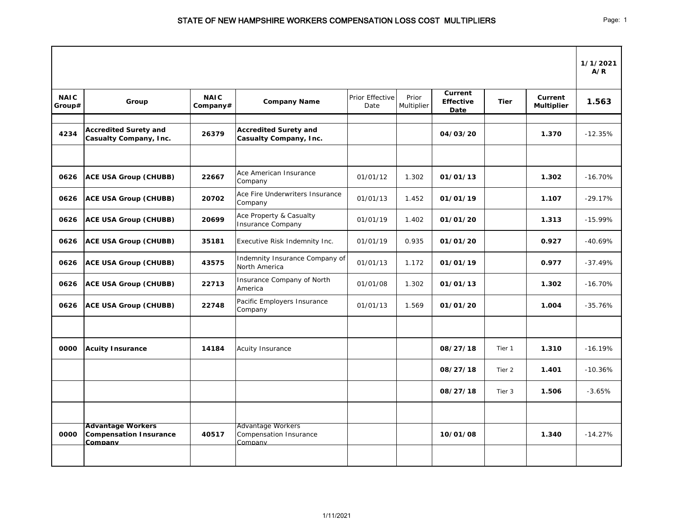|                       |                                                                      |                         |                                                               |                         |                     |                                            |             |                              | 1/1/2021<br>A/R |
|-----------------------|----------------------------------------------------------------------|-------------------------|---------------------------------------------------------------|-------------------------|---------------------|--------------------------------------------|-------------|------------------------------|-----------------|
| <b>NAIC</b><br>Group# | Group                                                                | <b>NAIC</b><br>Company# | <b>Company Name</b>                                           | Prior Effective<br>Date | Prior<br>Multiplier | <b>Current</b><br><b>Effective</b><br>Date | <b>Tier</b> | Current<br><b>Multiplier</b> | 1.563           |
| 4234                  | <b>Accredited Surety and</b><br><b>Casualty Company, Inc.</b>        | 26379                   | <b>Accredited Surety and</b><br><b>Casualty Company, Inc.</b> |                         |                     | 04/03/20                                   |             | 1.370                        | $-12.35%$       |
|                       |                                                                      |                         |                                                               |                         |                     |                                            |             |                              |                 |
| 0626                  | <b>ACE USA Group (CHUBB)</b>                                         | 22667                   | Ace American Insurance<br>Company                             | 01/01/12                | 1.302               | 01/01/13                                   |             | 1.302                        | $-16.70%$       |
| 0626                  | <b>ACE USA Group (CHUBB)</b>                                         | 20702                   | Ace Fire Underwriters Insurance<br>Company                    | 01/01/13                | 1.452               | 01/01/19                                   |             | 1.107                        | $-29.17%$       |
| 0626                  | <b>ACE USA Group (CHUBB)</b>                                         | 20699                   | Ace Property & Casualty<br><b>Insurance Company</b>           | 01/01/19                | 1.402               | 01/01/20                                   |             | 1.313                        | $-15.99%$       |
| 0626                  | <b>ACE USA Group (CHUBB)</b>                                         | 35181                   | Executive Risk Indemnity Inc.                                 | 01/01/19                | 0.935               | 01/01/20                                   |             | 0.927                        | $-40.69%$       |
| 0626                  | <b>ACE USA Group (CHUBB)</b>                                         | 43575                   | Indemnity Insurance Company of<br>North America               | 01/01/13                | 1.172               | 01/01/19                                   |             | 0.977                        | $-37.49%$       |
| 0626                  | <b>ACE USA Group (CHUBB)</b>                                         | 22713                   | Insurance Company of North<br>America                         | 01/01/08                | 1.302               | 01/01/13                                   |             | 1.302                        | $-16.70%$       |
| 0626                  | <b>ACE USA Group (CHUBB)</b>                                         | 22748                   | Pacific Employers Insurance<br>Company                        | 01/01/13                | 1.569               | 01/01/20                                   |             | 1.004                        | $-35.76%$       |
|                       |                                                                      |                         |                                                               |                         |                     |                                            |             |                              |                 |
| 0000                  | <b>Acuity Insurance</b>                                              | 14184                   | <b>Acuity Insurance</b>                                       |                         |                     | 08/27/18                                   | Tier 1      | 1.310                        | $-16.19%$       |
|                       |                                                                      |                         |                                                               |                         |                     | 08/27/18                                   | Tier 2      | 1.401                        | $-10.36%$       |
|                       |                                                                      |                         |                                                               |                         |                     | 08/27/18                                   | Tier 3      | 1.506                        | $-3.65%$        |
|                       |                                                                      |                         |                                                               |                         |                     |                                            |             |                              |                 |
| 0000                  | <b>Advantage Workers</b><br><b>Compensation Insurance</b><br>Company | 40517                   | <b>Advantage Workers</b><br>Compensation Insurance<br>Company |                         |                     | 10/01/08                                   |             | 1.340                        | $-14.27%$       |
|                       |                                                                      |                         |                                                               |                         |                     |                                            |             |                              |                 |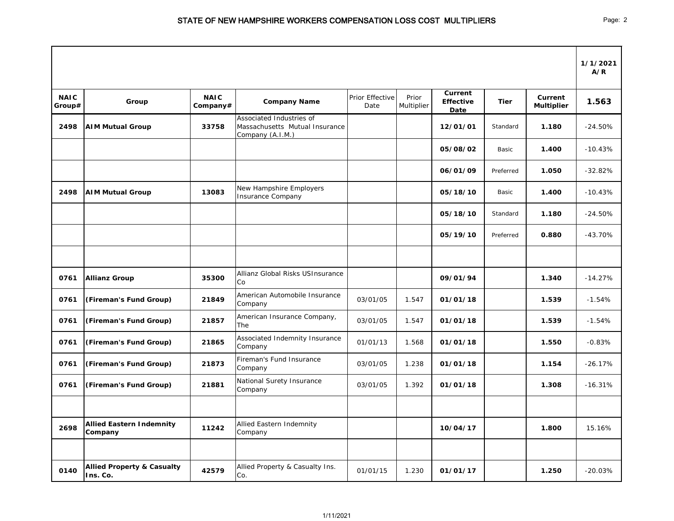|                       |                                                   |                         |                                                                                |                         |                     |                                            |             |                              | 1/1/2021<br>A/R |
|-----------------------|---------------------------------------------------|-------------------------|--------------------------------------------------------------------------------|-------------------------|---------------------|--------------------------------------------|-------------|------------------------------|-----------------|
| <b>NAIC</b><br>Group# | Group                                             | <b>NAIC</b><br>Company# | <b>Company Name</b>                                                            | Prior Effective<br>Date | Prior<br>Multiplier | <b>Current</b><br><b>Effective</b><br>Date | <b>Tier</b> | Current<br><b>Multiplier</b> | 1.563           |
| 2498                  | <b>AIM Mutual Group</b>                           | 33758                   | Associated Industries of<br>Massachusetts Mutual Insurance<br>Company (A.I.M.) |                         |                     | 12/01/01                                   | Standard    | 1.180                        | $-24.50%$       |
|                       |                                                   |                         |                                                                                |                         |                     | 05/08/02                                   | Basic       | 1.400                        | $-10.43%$       |
|                       |                                                   |                         |                                                                                |                         |                     | 06/01/09                                   | Preferred   | 1.050                        | $-32.82%$       |
| 2498                  | <b>AIM Mutual Group</b>                           | 13083                   | New Hampshire Employers<br><b>Insurance Company</b>                            |                         |                     | 05/18/10                                   | Basic       | 1.400                        | $-10.43%$       |
|                       |                                                   |                         |                                                                                |                         |                     | 05/18/10                                   | Standard    | 1.180                        | $-24.50%$       |
|                       |                                                   |                         |                                                                                |                         |                     | 05/19/10                                   | Preferred   | 0.880                        | $-43.70%$       |
|                       |                                                   |                         |                                                                                |                         |                     |                                            |             |                              |                 |
| 0761                  | <b>Allianz Group</b>                              | 35300                   | Allianz Global Risks USInsurance<br>Co                                         |                         |                     | 09/01/94                                   |             | 1.340                        | $-14.27%$       |
| 0761                  | (Fireman's Fund Group)                            | 21849                   | American Automobile Insurance<br>Company                                       | 03/01/05                | 1.547               | 01/01/18                                   |             | 1.539                        | $-1.54%$        |
| 0761                  | (Fireman's Fund Group)                            | 21857                   | American Insurance Company,<br>The                                             | 03/01/05                | 1.547               | 01/01/18                                   |             | 1.539                        | $-1.54%$        |
| 0761                  | (Fireman's Fund Group)                            | 21865                   | Associated Indemnity Insurance<br>Company                                      | 01/01/13                | 1.568               | 01/01/18                                   |             | 1.550                        | $-0.83%$        |
| 0761                  | (Fireman's Fund Group)                            | 21873                   | Fireman's Fund Insurance<br>Company                                            | 03/01/05                | 1.238               | 01/01/18                                   |             | 1.154                        | $-26.17%$       |
| 0761                  | (Fireman's Fund Group)                            | 21881                   | National Surety Insurance<br>Company                                           | 03/01/05                | 1.392               | 01/01/18                                   |             | 1.308                        | $-16.31%$       |
| 2698                  | <b>Allied Eastern Indemnity</b><br>Company        | 11242                   | Allied Eastern Indemnity<br>Company                                            |                         |                     | 10/04/17                                   |             | 1.800                        | 15.16%          |
|                       |                                                   |                         |                                                                                |                         |                     |                                            |             |                              |                 |
| 0140                  | <b>Allied Property &amp; Casualty</b><br>Ins. Co. | 42579                   | Allied Property & Casualty Ins.<br>Co.                                         | 01/01/15                | 1.230               | 01/01/17                                   |             | 1.250                        | $-20.03%$       |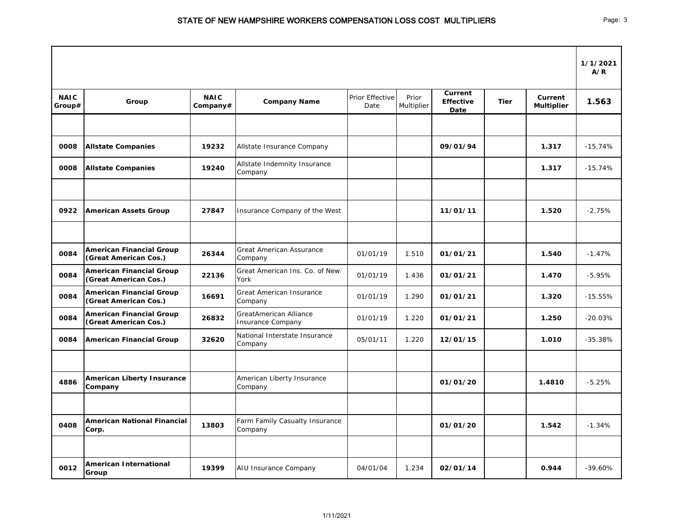|                       |                                                          |                         |                                                           |                         |                     |                                            |             |                                     | 1/1/2021<br>A/R |
|-----------------------|----------------------------------------------------------|-------------------------|-----------------------------------------------------------|-------------------------|---------------------|--------------------------------------------|-------------|-------------------------------------|-----------------|
| <b>NAIC</b><br>Group# | Group                                                    | <b>NAIC</b><br>Company# | <b>Company Name</b>                                       | Prior Effective<br>Date | Prior<br>Multiplier | <b>Current</b><br><b>Effective</b><br>Date | <b>Tier</b> | <b>Current</b><br><b>Multiplier</b> | 1.563           |
|                       |                                                          |                         |                                                           |                         |                     |                                            |             |                                     |                 |
| 0008                  | <b>Allstate Companies</b>                                | 19232                   | Allstate Insurance Company                                |                         |                     | 09/01/94                                   |             | 1.317                               | $-15.74%$       |
| 0008                  | <b>Allstate Companies</b>                                | 19240                   | Allstate Indemnity Insurance<br>Company                   |                         |                     |                                            |             | 1.317                               | $-15.74%$       |
|                       |                                                          |                         |                                                           |                         |                     |                                            |             |                                     |                 |
| 0922                  | <b>American Assets Group</b>                             | 27847                   | Insurance Company of the West                             |                         |                     | 11/01/11                                   |             | 1.520                               | $-2.75%$        |
|                       |                                                          |                         |                                                           |                         |                     |                                            |             |                                     |                 |
| 0084                  | <b>American Financial Group</b><br>(Great American Cos.) | 26344                   | <b>Great American Assurance</b><br>Company                | 01/01/19                | 1.510               | 01/01/21                                   |             | 1.540                               | $-1.47%$        |
| 0084                  | <b>American Financial Group</b><br>(Great American Cos.) | 22136                   | Great American Ins. Co. of New<br>York                    | 01/01/19                | 1.436               | 01/01/21                                   |             | 1.470                               | $-5.95%$        |
| 0084                  | <b>American Financial Group</b><br>(Great American Cos.) | 16691                   | Great American Insurance<br>Company                       | 01/01/19                | 1.290               | 01/01/21                                   |             | 1.320                               | $-15.55%$       |
| 0084                  | <b>American Financial Group</b><br>(Great American Cos.) | 26832                   | <b>GreatAmerican Alliance</b><br><b>Insurance Company</b> | 01/01/19                | 1.220               | 01/01/21                                   |             | 1.250                               | $-20.03%$       |
| 0084                  | <b>American Financial Group</b>                          | 32620                   | National Interstate Insurance<br>Company                  | 05/01/11                | 1.220               | 12/01/15                                   |             | 1.010                               | $-35.38%$       |
|                       |                                                          |                         |                                                           |                         |                     |                                            |             |                                     |                 |
| 4886                  | <b>American Liberty Insurance</b><br><b>Company</b>      |                         | American Liberty Insurance<br>Company                     |                         |                     | 01/01/20                                   |             | 1.4810                              | $-5.25%$        |
|                       |                                                          |                         |                                                           |                         |                     |                                            |             |                                     |                 |
| 0408                  | <b>American National Financial</b><br>Corp.              | 13803                   | Farm Family Casualty Insurance<br>Company                 |                         |                     | 01/01/20                                   |             | 1.542                               | $-1.34%$        |
|                       |                                                          |                         |                                                           |                         |                     |                                            |             |                                     |                 |
| 0012                  | <b>American International</b><br>Group                   | 19399                   | AIU Insurance Company                                     | 04/01/04                | 1.234               | 02/01/14                                   |             | 0.944                               | $-39.60%$       |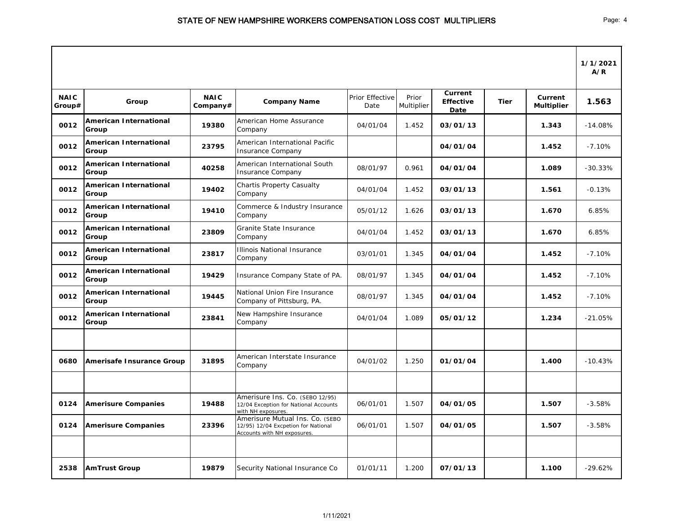|                       |                                        |                         |                                                                                                       |                         |                     |                                     |             |                              | 1/1/2021<br>A/R |
|-----------------------|----------------------------------------|-------------------------|-------------------------------------------------------------------------------------------------------|-------------------------|---------------------|-------------------------------------|-------------|------------------------------|-----------------|
| <b>NAIC</b><br>Group# | Group                                  | <b>NAIC</b><br>Company# | <b>Company Name</b>                                                                                   | Prior Effective<br>Date | Prior<br>Multiplier | Current<br><b>Effective</b><br>Date | <b>Tier</b> | Current<br><b>Multiplier</b> | 1.563           |
| 0012                  | <b>American International</b><br>Group | 19380                   | American Home Assurance<br>Company                                                                    | 04/01/04                | 1.452               | 03/01/13                            |             | 1.343                        | $-14.08%$       |
| 0012                  | <b>American International</b><br>Group | 23795                   | American International Pacific<br><b>Insurance Company</b>                                            |                         |                     | 04/01/04                            |             | 1.452                        | $-7.10%$        |
| 0012                  | <b>American International</b><br>Group | 40258                   | American International South<br><b>Insurance Company</b>                                              | 08/01/97                | 0.961               | 04/01/04                            |             | 1.089                        | $-30.33%$       |
| 0012                  | <b>American International</b><br>Group | 19402                   | <b>Chartis Property Casualty</b><br>Company                                                           | 04/01/04                | 1.452               | 03/01/13                            |             | 1.561                        | $-0.13%$        |
| 0012                  | <b>American International</b><br>Group | 19410                   | Commerce & Industry Insurance<br>Company                                                              | 05/01/12                | 1.626               | 03/01/13                            |             | 1.670                        | 6.85%           |
| 0012                  | <b>American International</b><br>Group | 23809                   | <b>Granite State Insurance</b><br>Company                                                             | 04/01/04                | 1.452               | 03/01/13                            |             | 1.670                        | 6.85%           |
| 0012                  | <b>American International</b><br>Group | 23817                   | <b>Illinois National Insurance</b><br>Company                                                         | 03/01/01                | 1.345               | 04/01/04                            |             | 1.452                        | $-7.10%$        |
| 0012                  | <b>American International</b><br>Group | 19429                   | Insurance Company State of PA.                                                                        | 08/01/97                | 1.345               | 04/01/04                            |             | 1.452                        | $-7.10%$        |
| 0012                  | <b>American International</b><br>Group | 19445                   | National Union Fire Insurance<br>Company of Pittsburg, PA.                                            | 08/01/97                | 1.345               | 04/01/04                            |             | 1.452                        | $-7.10%$        |
| 0012                  | <b>American International</b><br>Group | 23841                   | New Hampshire Insurance<br>Company                                                                    | 04/01/04                | 1.089               | 05/01/12                            |             | 1.234                        | $-21.05%$       |
|                       |                                        |                         |                                                                                                       |                         |                     |                                     |             |                              |                 |
| 0680                  | Amerisafe Insurance Group              | 31895                   | American Interstate Insurance<br>Company                                                              | 04/01/02                | 1.250               | 01/01/04                            |             | 1.400                        | $-10.43%$       |
|                       |                                        |                         |                                                                                                       |                         |                     |                                     |             |                              |                 |
| 0124                  | <b>Amerisure Companies</b>             | 19488                   | Amerisure Ins. Co. (SEBO 12/95)<br>12/04 Exception for National Accounts<br>with NH exposures.        | 06/01/01                | 1.507               | 04/01/05                            |             | 1.507                        | $-3.58%$        |
| 0124                  | <b>Amerisure Companies</b>             | 23396                   | Amerisure Mutual Ins. Co. (SEBO<br>12/95) 12/04 Excpetion for National<br>Accounts with NH exposures. | 06/01/01                | 1.507               | 04/01/05                            |             | 1.507                        | $-3.58%$        |
|                       |                                        |                         |                                                                                                       |                         |                     |                                     |             |                              |                 |
| 2538                  | <b>AmTrust Group</b>                   | 19879                   | Security National Insurance Co                                                                        | 01/01/11                | 1.200               | 07/01/13                            |             | 1.100                        | $-29.62%$       |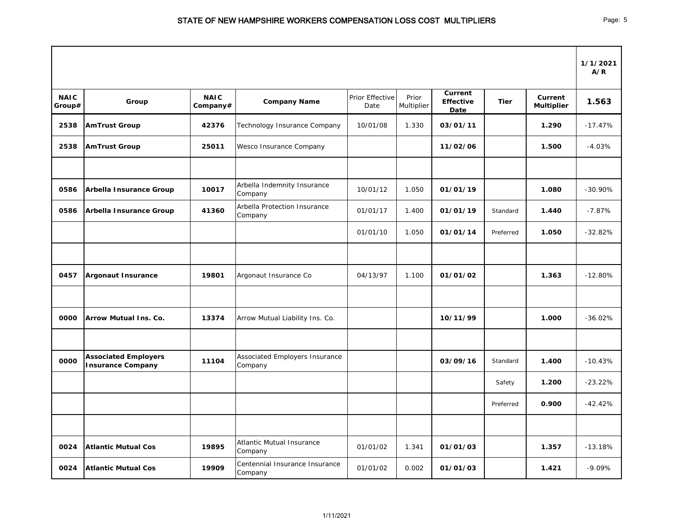|                       |                                                         |                         |                                             |                         |                     |                                     |             |                              | 1/1/2021<br>A/R |
|-----------------------|---------------------------------------------------------|-------------------------|---------------------------------------------|-------------------------|---------------------|-------------------------------------|-------------|------------------------------|-----------------|
| <b>NAIC</b><br>Group# | Group                                                   | <b>NAIC</b><br>Company# | <b>Company Name</b>                         | Prior Effective<br>Date | Prior<br>Multiplier | Current<br><b>Effective</b><br>Date | <b>Tier</b> | Current<br><b>Multiplier</b> | 1.563           |
| 2538                  | <b>AmTrust Group</b>                                    | 42376                   | Technology Insurance Company                | 10/01/08                | 1.330               | 03/01/11                            |             | 1.290                        | $-17.47%$       |
| 2538                  | <b>AmTrust Group</b>                                    | 25011                   | Wesco Insurance Company                     |                         |                     | 11/02/06                            |             | 1.500                        | $-4.03%$        |
| 0586                  | <b>Arbella Insurance Group</b>                          | 10017                   | Arbella Indemnity Insurance<br>Company      | 10/01/12                | 1.050               | 01/01/19                            |             | 1.080                        | $-30.90\%$      |
| 0586                  | Arbella Insurance Group                                 | 41360                   | Arbella Protection Insurance<br>Company     | 01/01/17                | 1.400               | 01/01/19                            | Standard    | 1.440                        | $-7.87%$        |
|                       |                                                         |                         |                                             | 01/01/10                | 1.050               | 01/01/14                            | Preferred   | 1.050                        | $-32.82%$       |
|                       |                                                         |                         |                                             |                         |                     |                                     |             |                              |                 |
| 0457                  | <b>Argonaut Insurance</b>                               | 19801                   | Argonaut Insurance Co                       | 04/13/97                | 1.100               | 01/01/02                            |             | 1.363                        | $-12.80%$       |
| 0000                  | <b>Arrow Mutual Ins. Co.</b>                            | 13374                   | Arrow Mutual Liability Ins. Co.             |                         |                     | 10/11/99                            |             | 1.000                        | $-36.02%$       |
| 0000                  | <b>Associated Employers</b><br><b>Insurance Company</b> | 11104                   | Associated Employers Insurance<br>Company   |                         |                     | 03/09/16                            | Standard    | 1.400                        | $-10.43%$       |
|                       |                                                         |                         |                                             |                         |                     |                                     | Safety      | 1.200                        | $-23.22%$       |
|                       |                                                         |                         |                                             |                         |                     |                                     | Preferred   | 0.900                        | $-42.42%$       |
|                       |                                                         |                         |                                             |                         |                     |                                     |             |                              |                 |
| 0024                  | <b>Atlantic Mutual Cos</b>                              | 19895                   | <b>Atlantic Mutual Insurance</b><br>Company | 01/01/02                | 1.341               | 01/01/03                            |             | 1.357                        | $-13.18%$       |
| 0024                  | <b>Atlantic Mutual Cos</b>                              | 19909                   | Centennial Insurance Insurance<br>Company   | 01/01/02                | 0.002               | 01/01/03                            |             | 1.421                        | $-9.09%$        |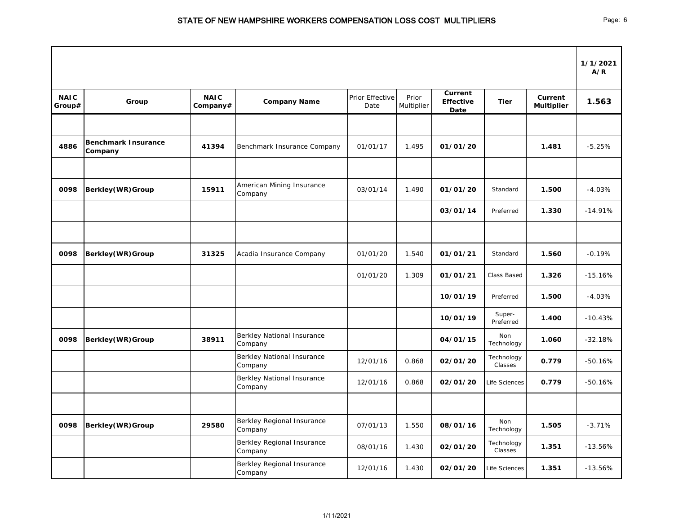|                       |                                       |                         |                                              |                         |                     |                                                   |                       |                              | 1/1/2021<br>A/R |
|-----------------------|---------------------------------------|-------------------------|----------------------------------------------|-------------------------|---------------------|---------------------------------------------------|-----------------------|------------------------------|-----------------|
| <b>NAIC</b><br>Group# | Group                                 | <b>NAIC</b><br>Company# | <b>Company Name</b>                          | Prior Effective<br>Date | Prior<br>Multiplier | <b>Current</b><br><b>Effective</b><br><b>Date</b> | <b>Tier</b>           | Current<br><b>Multiplier</b> | 1.563           |
|                       |                                       |                         |                                              |                         |                     |                                                   |                       |                              |                 |
| 4886                  | <b>Benchmark Insurance</b><br>Company | 41394                   | Benchmark Insurance Company                  | 01/01/17                | 1.495               | 01/01/20                                          |                       | 1.481                        | $-5.25%$        |
|                       |                                       |                         |                                              |                         |                     |                                                   |                       |                              |                 |
| 0098                  | <b>Berkley(WR)Group</b>               | 15911                   | American Mining Insurance<br>Company         | 03/01/14                | 1.490               | 01/01/20                                          | Standard              | 1.500                        | $-4.03%$        |
|                       |                                       |                         |                                              |                         |                     | 03/01/14                                          | Preferred             | 1.330                        | $-14.91%$       |
|                       |                                       |                         |                                              |                         |                     |                                                   |                       |                              |                 |
| 0098                  | <b>Berkley(WR)Group</b>               | 31325                   | Acadia Insurance Company                     | 01/01/20                | 1.540               | 01/01/21                                          | Standard              | 1.560                        | $-0.19%$        |
|                       |                                       |                         |                                              | 01/01/20                | 1.309               | 01/01/21                                          | Class Based           | 1.326                        | $-15.16%$       |
|                       |                                       |                         |                                              |                         |                     | 10/01/19                                          | Preferred             | 1.500                        | $-4.03%$        |
|                       |                                       |                         |                                              |                         |                     | 10/01/19                                          | Super-<br>Preferred   | 1.400                        | $-10.43%$       |
| 0098                  | <b>Berkley(WR)Group</b>               | 38911                   | <b>Berkley National Insurance</b><br>Company |                         |                     | 04/01/15                                          | Non<br>Technology     | 1.060                        | $-32.18%$       |
|                       |                                       |                         | <b>Berkley National Insurance</b><br>Company | 12/01/16                | 0.868               | 02/01/20                                          | Technology<br>Classes | 0.779                        | $-50.16%$       |
|                       |                                       |                         | <b>Berkley National Insurance</b><br>Company | 12/01/16                | 0.868               | 02/01/20                                          | Life Sciences         | 0.779                        | $-50.16%$       |
|                       |                                       |                         |                                              |                         |                     |                                                   |                       |                              |                 |
| 0098                  | <b>Berkley(WR)Group</b>               | 29580                   | Berkley Regional Insurance<br>Company        | 07/01/13                | 1.550               | 08/01/16                                          | Non<br>Technology     | 1.505                        | $-3.71%$        |
|                       |                                       |                         | Berkley Regional Insurance<br>Company        | 08/01/16                | 1.430               | 02/01/20                                          | Technology<br>Classes | 1.351                        | $-13.56%$       |
|                       |                                       |                         | Berkley Regional Insurance<br>Company        | 12/01/16                | 1.430               | 02/01/20                                          | Life Sciences         | 1.351                        | $-13.56%$       |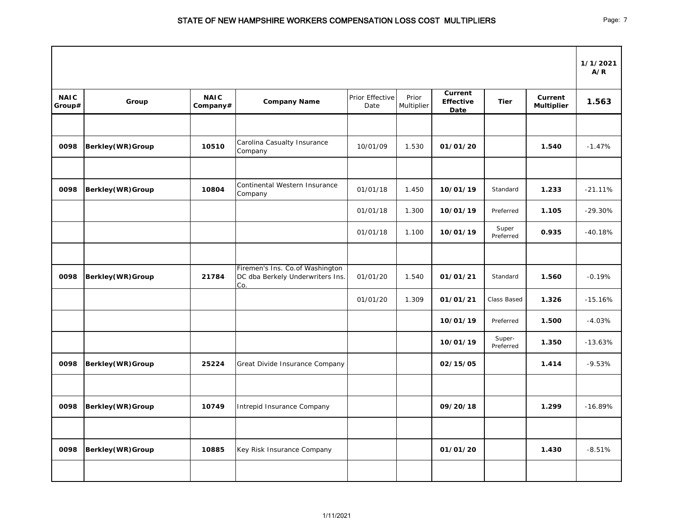|                       |                           |                         |                                                                            |                         |                     |                                     |                     |                              | 1/1/2021<br>A/R |
|-----------------------|---------------------------|-------------------------|----------------------------------------------------------------------------|-------------------------|---------------------|-------------------------------------|---------------------|------------------------------|-----------------|
| <b>NAIC</b><br>Group# | Group                     | <b>NAIC</b><br>Company# | <b>Company Name</b>                                                        | Prior Effective<br>Date | Prior<br>Multiplier | Current<br><b>Effective</b><br>Date | <b>Tier</b>         | Current<br><b>Multiplier</b> | 1.563           |
|                       |                           |                         |                                                                            |                         |                     |                                     |                     |                              |                 |
| 0098                  | <b>Berkley(WR)Group</b>   | 10510                   | Carolina Casualty Insurance<br>Company                                     | 10/01/09                | 1.530               | 01/01/20                            |                     | 1.540                        | $-1.47%$        |
|                       |                           |                         |                                                                            |                         |                     |                                     |                     |                              |                 |
| 0098                  | <b>Berkley(WR)Group</b>   | 10804                   | Continental Western Insurance<br>Company                                   | 01/01/18                | 1.450               | 10/01/19                            | Standard            | 1.233                        | $-21.11%$       |
|                       |                           |                         |                                                                            | 01/01/18                | 1.300               | 10/01/19                            | Preferred           | 1.105                        | $-29.30%$       |
|                       |                           |                         |                                                                            | 01/01/18                | 1.100               | 10/01/19                            | Super<br>Preferred  | 0.935                        | $-40.18%$       |
|                       |                           |                         |                                                                            |                         |                     |                                     |                     |                              |                 |
| 0098                  | <b>Berkley(WR)Group</b>   | 21784                   | Firemen's Ins. Co.of Washington<br>DC dba Berkely Underwriters Ins.<br>Co. | 01/01/20                | 1.540               | 01/01/21                            | Standard            | 1.560                        | $-0.19%$        |
|                       |                           |                         |                                                                            | 01/01/20                | 1.309               | 01/01/21                            | Class Based         | 1.326                        | $-15.16%$       |
|                       |                           |                         |                                                                            |                         |                     | 10/01/19                            | Preferred           | 1.500                        | $-4.03%$        |
|                       |                           |                         |                                                                            |                         |                     | 10/01/19                            | Super-<br>Preferred | 1.350                        | $-13.63%$       |
| 0098                  | <b>Berkley (WR) Group</b> | 25224                   | Great Divide Insurance Company                                             |                         |                     | 02/15/05                            |                     | 1.414                        | $-9.53%$        |
|                       |                           |                         |                                                                            |                         |                     |                                     |                     |                              |                 |
| 0098                  | <b>Berkley (WR) Group</b> | 10749                   | Intrepid Insurance Company                                                 |                         |                     | 09/20/18                            |                     | 1.299                        | $-16.89%$       |
|                       |                           |                         |                                                                            |                         |                     |                                     |                     |                              |                 |
| 0098                  | <b>Berkley(WR)Group</b>   | 10885                   | Key Risk Insurance Company                                                 |                         |                     | 01/01/20                            |                     | 1.430                        | $-8.51%$        |
|                       |                           |                         |                                                                            |                         |                     |                                     |                     |                              |                 |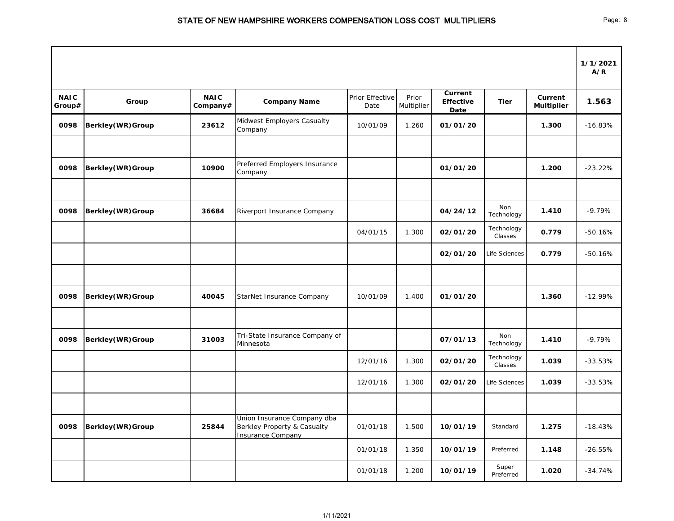|                       |                           |                         |                                                                                        |                         |                     |                                            |                       |                              | 1/1/2021<br>A/R |
|-----------------------|---------------------------|-------------------------|----------------------------------------------------------------------------------------|-------------------------|---------------------|--------------------------------------------|-----------------------|------------------------------|-----------------|
| <b>NAIC</b><br>Group# | Group                     | <b>NAIC</b><br>Company# | <b>Company Name</b>                                                                    | Prior Effective<br>Date | Prior<br>Multiplier | <b>Current</b><br><b>Effective</b><br>Date | <b>Tier</b>           | Current<br><b>Multiplier</b> | 1.563           |
| 0098                  | <b>Berkley(WR)Group</b>   | 23612                   | Midwest Employers Casualty<br>Company                                                  | 10/01/09                | 1.260               | 01/01/20                                   |                       | 1.300                        | $-16.83%$       |
| 0098                  | <b>Berkley(WR)Group</b>   | 10900                   | Preferred Employers Insurance<br>Company                                               |                         |                     | 01/01/20                                   |                       | 1.200                        | $-23.22%$       |
| 0098                  | <b>Berkley(WR)Group</b>   | 36684                   | Riverport Insurance Company                                                            |                         |                     | 04/24/12                                   | Non<br>Technology     | 1.410                        | $-9.79%$        |
|                       |                           |                         |                                                                                        | 04/01/15                | 1.300               | 02/01/20                                   | Technology<br>Classes | 0.779                        | $-50.16%$       |
|                       |                           |                         |                                                                                        |                         |                     | 02/01/20                                   | Life Sciences         | 0.779                        | $-50.16%$       |
| 0098                  | <b>Berkley(WR)Group</b>   | 40045                   | StarNet Insurance Company                                                              | 10/01/09                | 1.400               | 01/01/20                                   |                       | 1.360                        | $-12.99%$       |
| 0098                  | <b>Berkley (WR) Group</b> | 31003                   | Tri-State Insurance Company of<br>Minnesota                                            |                         |                     | 07/01/13                                   | Non<br>Technology     | 1.410                        | $-9.79%$        |
|                       |                           |                         |                                                                                        | 12/01/16                | 1.300               | 02/01/20                                   | Technology<br>Classes | 1.039                        | $-33.53%$       |
|                       |                           |                         |                                                                                        | 12/01/16                | 1.300               | 02/01/20                                   | Life Sciences         | 1.039                        | $-33.53%$       |
| 0098                  | <b>Berkley(WR)Group</b>   | 25844                   | Union Insurance Company dba<br>Berkley Property & Casualty<br><b>Insurance Company</b> | 01/01/18                | 1.500               | 10/01/19                                   | Standard              | 1.275                        | $-18.43%$       |
|                       |                           |                         |                                                                                        | 01/01/18                | 1.350               | 10/01/19                                   | Preferred             | 1.148                        | $-26.55%$       |
|                       |                           |                         |                                                                                        | 01/01/18                | 1.200               | 10/01/19                                   | Super<br>Preferred    | 1.020                        | $-34.74%$       |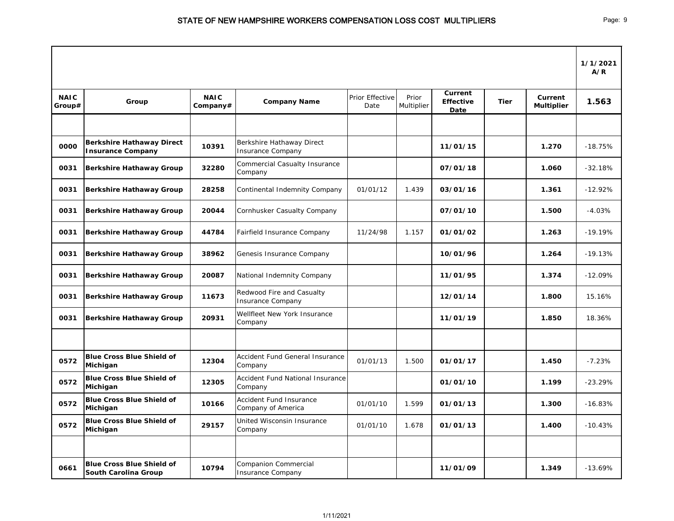|                       |                                                              |                         |                                                         |                         |                     |                                            |             |                                     | 1/1/2021<br>A/R |
|-----------------------|--------------------------------------------------------------|-------------------------|---------------------------------------------------------|-------------------------|---------------------|--------------------------------------------|-------------|-------------------------------------|-----------------|
| <b>NAIC</b><br>Group# | Group                                                        | <b>NAIC</b><br>Company# | <b>Company Name</b>                                     | Prior Effective<br>Date | Prior<br>Multiplier | <b>Current</b><br><b>Effective</b><br>Date | <b>Tier</b> | <b>Current</b><br><b>Multiplier</b> | 1.563           |
|                       |                                                              |                         |                                                         |                         |                     |                                            |             |                                     |                 |
| 0000                  | <b>Berkshire Hathaway Direct</b><br><b>Insurance Company</b> | 10391                   | Berkshire Hathaway Direct<br><b>Insurance Company</b>   |                         |                     | 11/01/15                                   |             | 1.270                               | $-18.75%$       |
| 0031                  | <b>Berkshire Hathaway Group</b>                              | 32280                   | <b>Commercial Casualty Insurance</b><br>Company         |                         |                     | 07/01/18                                   |             | 1.060                               | $-32.18%$       |
| 0031                  | <b>Berkshire Hathaway Group</b>                              | 28258                   | Continental Indemnity Company                           | 01/01/12                | 1.439               | 03/01/16                                   |             | 1.361                               | $-12.92%$       |
| 0031                  | <b>Berkshire Hathaway Group</b>                              | 20044                   | Cornhusker Casualty Company                             |                         |                     | 07/01/10                                   |             | 1.500                               | $-4.03%$        |
| 0031                  | <b>Berkshire Hathaway Group</b>                              | 44784                   | Fairfield Insurance Company                             | 11/24/98                | 1.157               | 01/01/02                                   |             | 1.263                               | $-19.19%$       |
| 0031                  | <b>Berkshire Hathaway Group</b>                              | 38962                   | Genesis Insurance Company                               |                         |                     | 10/01/96                                   |             | 1.264                               | $-19.13%$       |
| 0031                  | <b>Berkshire Hathaway Group</b>                              | 20087                   | National Indemnity Company                              |                         |                     | 11/01/95                                   |             | 1.374                               | $-12.09%$       |
| 0031                  | <b>Berkshire Hathaway Group</b>                              | 11673                   | Redwood Fire and Casualty<br><b>Insurance Company</b>   |                         |                     | 12/01/14                                   |             | 1.800                               | 15.16%          |
| 0031                  | <b>Berkshire Hathaway Group</b>                              | 20931                   | Wellfleet New York Insurance<br>Company                 |                         |                     | 11/01/19                                   |             | 1.850                               | 18.36%          |
|                       |                                                              |                         |                                                         |                         |                     |                                            |             |                                     |                 |
| 0572                  | <b>Blue Cross Blue Shield of</b><br>Michigan                 | 12304                   | Accident Fund General Insurance<br>Company              | 01/01/13                | 1.500               | 01/01/17                                   |             | 1.450                               | $-7.23%$        |
| 0572                  | <b>Blue Cross Blue Shield of</b><br>Michigan                 | 12305                   | Accident Fund National Insurance<br>Company             |                         |                     | 01/01/10                                   |             | 1.199                               | $-23.29%$       |
| 0572                  | <b>Blue Cross Blue Shield of</b><br>Michigan                 | 10166                   | Accident Fund Insurance<br>Company of America           | 01/01/10                | 1.599               | 01/01/13                                   |             | 1.300                               | $-16.83%$       |
| 0572                  | <b>Blue Cross Blue Shield of</b><br>Michigan                 | 29157                   | United Wisconsin Insurance<br>Company                   | 01/01/10                | 1.678               | 01/01/13                                   |             | 1.400                               | $-10.43%$       |
|                       |                                                              |                         |                                                         |                         |                     |                                            |             |                                     |                 |
| 0661                  | <b>Blue Cross Blue Shield of</b><br>South Carolina Group     | 10794                   | <b>Companion Commercial</b><br><b>Insurance Company</b> |                         |                     | 11/01/09                                   |             | 1.349                               | $-13.69%$       |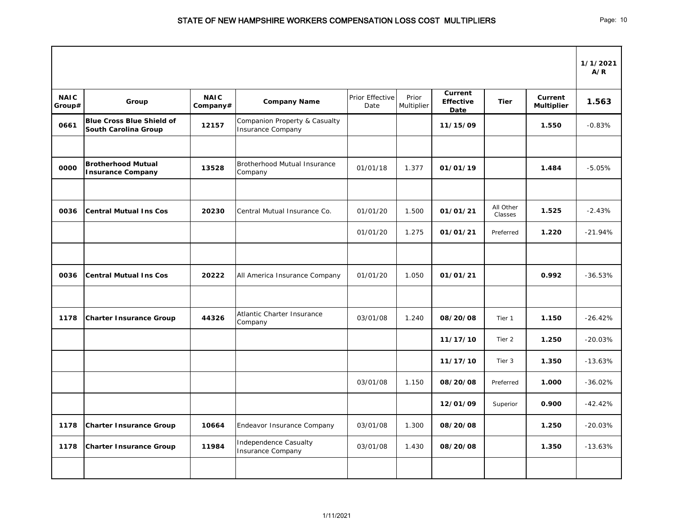|                       |                                                          |                         |                                                                      |                         |                     |                                            |                      |                                     | 1/1/2021<br>A/R |
|-----------------------|----------------------------------------------------------|-------------------------|----------------------------------------------------------------------|-------------------------|---------------------|--------------------------------------------|----------------------|-------------------------------------|-----------------|
| <b>NAIC</b><br>Group# | Group                                                    | <b>NAIC</b><br>Company# | <b>Company Name</b>                                                  | Prior Effective<br>Date | Prior<br>Multiplier | <b>Current</b><br><b>Effective</b><br>Date | <b>Tier</b>          | <b>Current</b><br><b>Multiplier</b> | 1.563           |
| 0661                  | <b>Blue Cross Blue Shield of</b><br>South Carolina Group | 12157                   | <b>Companion Property &amp; Casualty</b><br><b>Insurance Company</b> |                         |                     | 11/15/09                                   |                      | 1.550                               | $-0.83%$        |
| 0000                  | <b>Brotherhood Mutual</b><br><b>Insurance Company</b>    | 13528                   | Brotherhood Mutual Insurance<br>Company                              | 01/01/18                | 1.377               | 01/01/19                                   |                      | 1.484                               | $-5.05%$        |
|                       |                                                          |                         |                                                                      |                         |                     |                                            |                      |                                     |                 |
| 0036                  | <b>Central Mutual Ins Cos</b>                            | 20230                   | Central Mutual Insurance Co.                                         | 01/01/20                | 1.500               | 01/01/21                                   | All Other<br>Classes | 1.525                               | $-2.43%$        |
|                       |                                                          |                         |                                                                      | 01/01/20                | 1.275               | 01/01/21                                   | Preferred            | 1.220                               | $-21.94%$       |
|                       |                                                          |                         |                                                                      |                         |                     |                                            |                      |                                     |                 |
| 0036                  | <b>Central Mutual Ins Cos</b>                            | 20222                   | All America Insurance Company                                        | 01/01/20                | 1.050               | 01/01/21                                   |                      | 0.992                               | $-36.53%$       |
|                       |                                                          |                         |                                                                      |                         |                     |                                            |                      |                                     |                 |
| 1178                  | <b>Charter Insurance Group</b>                           | 44326                   | Atlantic Charter Insurance<br>Company                                | 03/01/08                | 1.240               | 08/20/08                                   | Tier 1               | 1.150                               | $-26.42%$       |
|                       |                                                          |                         |                                                                      |                         |                     | 11/17/10                                   | Tier 2               | 1.250                               | $-20.03%$       |
|                       |                                                          |                         |                                                                      |                         |                     | 11/17/10                                   | Tier 3               | 1.350                               | $-13.63%$       |
|                       |                                                          |                         |                                                                      | 03/01/08                | 1.150               | 08/20/08                                   | Preferred            | 1.000                               | $-36.02%$       |
|                       |                                                          |                         |                                                                      |                         |                     | 12/01/09                                   | Superior             | 0.900                               | $-42.42%$       |
| 1178                  | <b>Charter Insurance Group</b>                           | 10664                   | Endeavor Insurance Company                                           | 03/01/08                | 1.300               | 08/20/08                                   |                      | 1.250                               | $-20.03%$       |
| 1178                  | <b>Charter Insurance Group</b>                           | 11984                   | Independence Casualty<br><b>Insurance Company</b>                    | 03/01/08                | 1.430               | 08/20/08                                   |                      | 1.350                               | $-13.63%$       |
|                       |                                                          |                         |                                                                      |                         |                     |                                            |                      |                                     |                 |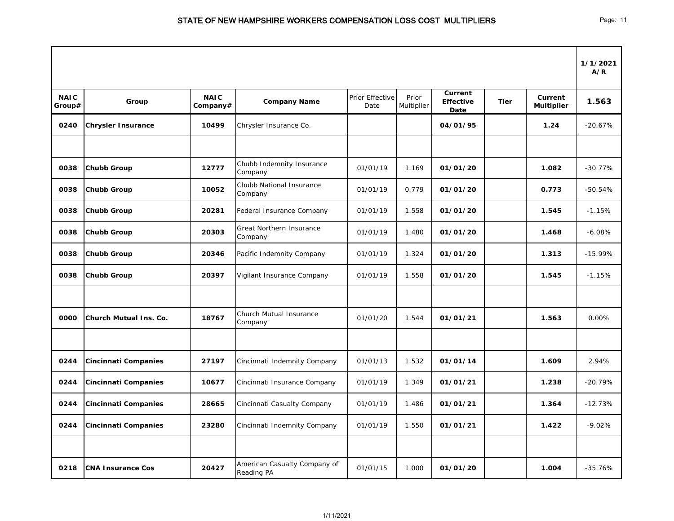|                       |                               |                         |                                                   |                         |                     |                                            |             |                                     | 1/1/2021<br>A/R |
|-----------------------|-------------------------------|-------------------------|---------------------------------------------------|-------------------------|---------------------|--------------------------------------------|-------------|-------------------------------------|-----------------|
| <b>NAIC</b><br>Group# | Group                         | <b>NAIC</b><br>Company# | <b>Company Name</b>                               | Prior Effective<br>Date | Prior<br>Multiplier | <b>Current</b><br><b>Effective</b><br>Date | <b>Tier</b> | <b>Current</b><br><b>Multiplier</b> | 1.563           |
| 0240                  | <b>Chrysler Insurance</b>     | 10499                   | Chrysler Insurance Co.                            |                         |                     | 04/01/95                                   |             | 1.24                                | $-20.67%$       |
|                       |                               |                         |                                                   |                         |                     |                                            |             |                                     |                 |
| 0038                  | <b>Chubb Group</b>            | 12777                   | Chubb Indemnity Insurance<br>Company              | 01/01/19                | 1.169               | 01/01/20                                   |             | 1.082                               | $-30.77%$       |
| 0038                  | <b>Chubb Group</b>            | 10052                   | Chubb National Insurance<br>Company               | 01/01/19                | 0.779               | 01/01/20                                   |             | 0.773                               | $-50.54%$       |
| 0038                  | <b>Chubb Group</b>            | 20281                   | Federal Insurance Company                         | 01/01/19                | 1.558               | 01/01/20                                   |             | 1.545                               | $-1.15%$        |
| 0038                  | <b>Chubb Group</b>            | 20303                   | <b>Great Northern Insurance</b><br>Company        | 01/01/19                | 1.480               | 01/01/20                                   |             | 1.468                               | $-6.08%$        |
| 0038                  | <b>Chubb Group</b>            | 20346                   | Pacific Indemnity Company                         | 01/01/19                | 1.324               | 01/01/20                                   |             | 1.313                               | $-15.99%$       |
| 0038                  | <b>Chubb Group</b>            | 20397                   | Vigilant Insurance Company                        | 01/01/19                | 1.558               | 01/01/20                                   |             | 1.545                               | $-1.15%$        |
|                       |                               |                         |                                                   |                         |                     |                                            |             |                                     |                 |
| 0000                  | <b>Church Mutual Ins. Co.</b> | 18767                   | <b>Church Mutual Insurance</b><br>Company         | 01/01/20                | 1.544               | 01/01/21                                   |             | 1.563                               | 0.00%           |
|                       |                               |                         |                                                   |                         |                     |                                            |             |                                     |                 |
| 0244                  | Cincinnati Companies          | 27197                   | Cincinnati Indemnity Company                      | 01/01/13                | 1.532               | 01/01/14                                   |             | 1.609                               | 2.94%           |
| 0244                  | <b>Cincinnati Companies</b>   | 10677                   | Cincinnati Insurance Company                      | 01/01/19                | 1.349               | 01/01/21                                   |             | 1.238                               | $-20.79%$       |
| 0244                  | Cincinnati Companies          | 28665                   | Cincinnati Casualty Company                       | 01/01/19                | 1.486               | 01/01/21                                   |             | 1.364                               | $-12.73%$       |
| 0244                  | <b>Cincinnati Companies</b>   | 23280                   | Cincinnati Indemnity Company                      | 01/01/19                | 1.550               | 01/01/21                                   |             | 1.422                               | $-9.02%$        |
|                       |                               |                         |                                                   |                         |                     |                                            |             |                                     |                 |
| 0218                  | <b>CNA Insurance Cos</b>      | 20427                   | American Casualty Company of<br><b>Reading PA</b> | 01/01/15                | 1.000               | 01/01/20                                   |             | 1.004                               | $-35.76%$       |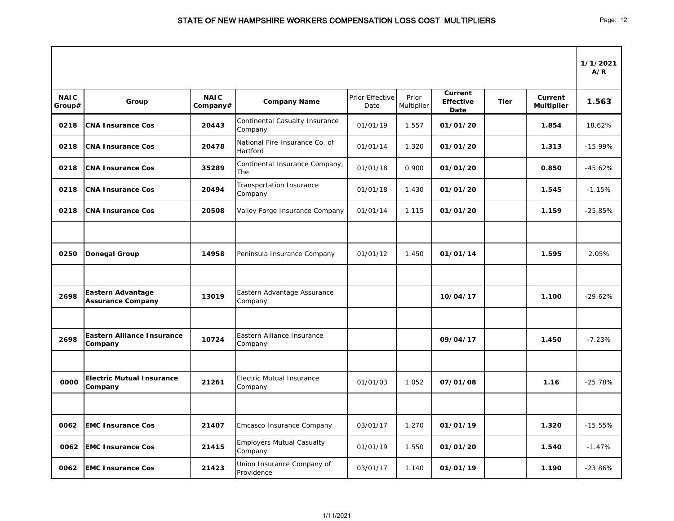|                       |                                                      |                         |                                                  |                         |                     |                                            |             |                              | 1/1/2021<br>A/R |
|-----------------------|------------------------------------------------------|-------------------------|--------------------------------------------------|-------------------------|---------------------|--------------------------------------------|-------------|------------------------------|-----------------|
| <b>NAIC</b><br>Group# | Group                                                | <b>NAIC</b><br>Company# | <b>Company Name</b>                              | Prior Effective<br>Date | Prior<br>Multiplier | <b>Current</b><br><b>Effective</b><br>Date | <b>Tier</b> | Current<br><b>Multiplier</b> | 1.563           |
| 0218                  | <b>CNA Insurance Cos</b>                             | 20443                   | <b>Continental Casualty Insurance</b><br>Company | 01/01/19                | 1.557               | 01/01/20                                   |             | 1.854                        | 18.62%          |
| 0218                  | <b>CNA Insurance Cos</b>                             | 20478                   | National Fire Insurance Co. of<br>Hartford       | 01/01/14                | 1.320               | 01/01/20                                   |             | 1.313                        | $-15.99%$       |
| 0218                  | <b>CNA Insurance Cos</b>                             | 35289                   | Continental Insurance Company,<br>The            | 01/01/18                | 0.900               | 01/01/20                                   |             | 0.850                        | $-45.62%$       |
| 0218                  | <b>CNA Insurance Cos</b>                             | 20494                   | <b>Transportation Insurance</b><br>Company       | 01/01/18                | 1.430               | 01/01/20                                   |             | 1.545                        | $-1.15%$        |
| 0218                  | <b>CNA Insurance Cos</b>                             | 20508                   | Valley Forge Insurance Company                   | 01/01/14                | 1.115               | 01/01/20                                   |             | 1.159                        | $-25.85%$       |
|                       |                                                      |                         |                                                  |                         |                     |                                            |             |                              |                 |
| 0250                  | <b>Donegal Group</b>                                 | 14958                   | Peninsula Insurance Company                      | 01/01/12                | 1.450               | 01/01/14                                   |             | 1.595                        | 2.05%           |
|                       |                                                      |                         |                                                  |                         |                     |                                            |             |                              |                 |
| 2698                  | <b>Eastern Advantage</b><br><b>Assurance Company</b> | 13019                   | Eastern Advantage Assurance<br>Company           |                         |                     | 10/04/17                                   |             | 1.100                        | $-29.62%$       |
|                       |                                                      |                         |                                                  |                         |                     |                                            |             |                              |                 |
| 2698                  | Eastern Alliance Insurance<br>Company                | 10724                   | Eastern Alliance Insurance<br>Company            |                         |                     | 09/04/17                                   |             | 1.450                        | $-7.23%$        |
|                       |                                                      |                         |                                                  |                         |                     |                                            |             |                              |                 |
| 0000                  | <b>Electric Mutual Insurance</b><br><b>Company</b>   | 21261                   | Electric Mutual Insurance<br>Company             | 01/01/03                | 1.052               | 07/01/08                                   |             | 1.16                         | $-25.78%$       |
|                       |                                                      |                         |                                                  |                         |                     |                                            |             |                              |                 |
| 0062                  | <b>EMC Insurance Cos</b>                             | 21407                   | Emcasco Insurance Company                        | 03/01/17                | 1.270               | 01/01/19                                   |             | 1.320                        | $-15.55%$       |
| 0062                  | <b>EMC Insurance Cos</b>                             | 21415                   | <b>Employers Mutual Casualty</b><br>Company      | 01/01/19                | 1.550               | 01/01/20                                   |             | 1.540                        | $-1.47%$        |
| 0062                  | <b>EMC Insurance Cos</b>                             | 21423                   | Union Insurance Company of<br>Providence         | 03/01/17                | 1.140               | 01/01/19                                   |             | 1.190                        | $-23.86%$       |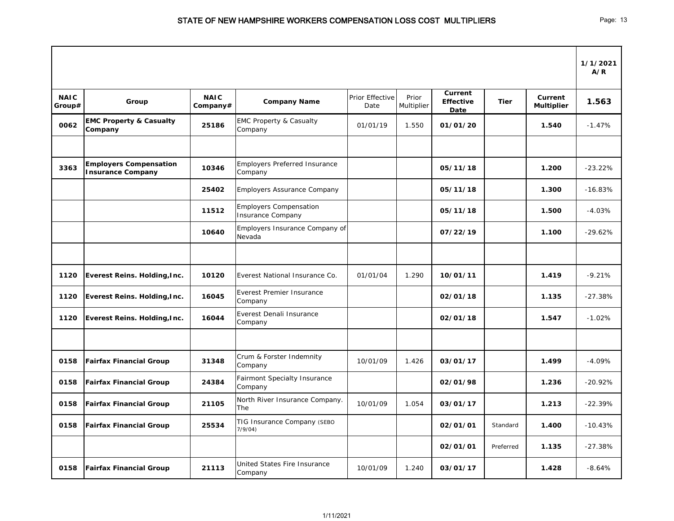|                       |                                                           |                         |                                                           |                         |                     |                                            |             |                                     | 1/1/2021<br>A/R |
|-----------------------|-----------------------------------------------------------|-------------------------|-----------------------------------------------------------|-------------------------|---------------------|--------------------------------------------|-------------|-------------------------------------|-----------------|
| <b>NAIC</b><br>Group# | Group                                                     | <b>NAIC</b><br>Company# | <b>Company Name</b>                                       | Prior Effective<br>Date | Prior<br>Multiplier | <b>Current</b><br><b>Effective</b><br>Date | <b>Tier</b> | <b>Current</b><br><b>Multiplier</b> | 1.563           |
| 0062                  | <b>EMC Property &amp; Casualty</b><br>Company             | 25186                   | <b>EMC Property &amp; Casualty</b><br>Company             | 01/01/19                | 1.550               | 01/01/20                                   |             | 1.540                               | $-1.47%$        |
| 3363                  | <b>Employers Compensation</b><br><b>Insurance Company</b> | 10346                   | <b>Employers Preferred Insurance</b><br>Company           |                         |                     | 05/11/18                                   |             | 1.200                               | $-23.22%$       |
|                       |                                                           | 25402                   | <b>Employers Assurance Company</b>                        |                         |                     | 05/11/18                                   |             | 1.300                               | $-16.83%$       |
|                       |                                                           | 11512                   | <b>Employers Compensation</b><br><b>Insurance Company</b> |                         |                     | 05/11/18                                   |             | 1.500                               | $-4.03%$        |
|                       |                                                           | 10640                   | Employers Insurance Company of<br>Nevada                  |                         |                     | 07/22/19                                   |             | 1.100                               | $-29.62%$       |
|                       |                                                           |                         |                                                           |                         |                     |                                            |             |                                     |                 |
| 1120                  | <b>Everest Reins. Holding, Inc.</b>                       | 10120                   | Everest National Insurance Co.                            | 01/01/04                | 1.290               | 10/01/11                                   |             | 1.419                               | $-9.21%$        |
| 1120                  | <b>Everest Reins. Holding, Inc.</b>                       | 16045                   | <b>Everest Premier Insurance</b><br>Company               |                         |                     | 02/01/18                                   |             | 1.135                               | $-27.38%$       |
| 1120                  | <b>Everest Reins. Holding, Inc.</b>                       | 16044                   | Everest Denali Insurance<br>Company                       |                         |                     | 02/01/18                                   |             | 1.547                               | $-1.02%$        |
|                       |                                                           |                         |                                                           |                         |                     |                                            |             |                                     |                 |
| 0158                  | <b>Fairfax Financial Group</b>                            | 31348                   | Crum & Forster Indemnity<br>Company                       | 10/01/09                | 1.426               | 03/01/17                                   |             | 1.499                               | $-4.09%$        |
| 0158                  | <b>Fairfax Financial Group</b>                            | 24384                   | <b>Fairmont Specialty Insurance</b><br>Company            |                         |                     | 02/01/98                                   |             | 1.236                               | $-20.92%$       |
| 0158                  | <b>Fairfax Financial Group</b>                            | 21105                   | North River Insurance Company.<br>The                     | 10/01/09                | 1.054               | 03/01/17                                   |             | 1.213                               | $-22.39%$       |
| 0158                  | <b>Fairfax Financial Group</b>                            | 25534                   | TIG Insurance Company (SEBO<br>7/9/04)                    |                         |                     | 02/01/01                                   | Standard    | 1.400                               | $-10.43%$       |
|                       |                                                           |                         |                                                           |                         |                     | 02/01/01                                   | Preferred   | 1.135                               | $-27.38%$       |
| 0158                  | <b>Fairfax Financial Group</b>                            | 21113                   | United States Fire Insurance<br>Company                   | 10/01/09                | 1.240               | 03/01/17                                   |             | 1.428                               | $-8.64%$        |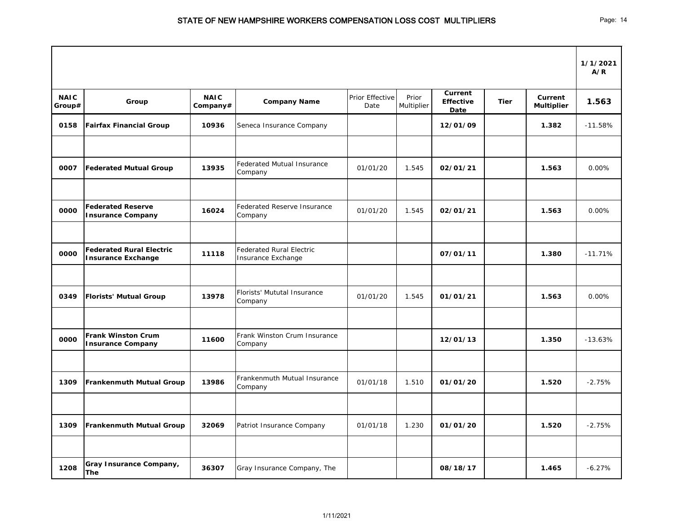|                       |                                                              |                         |                                                       |                                |                     |                                            |             |                              | 1/1/2021<br>A/R |
|-----------------------|--------------------------------------------------------------|-------------------------|-------------------------------------------------------|--------------------------------|---------------------|--------------------------------------------|-------------|------------------------------|-----------------|
| <b>NAIC</b><br>Group# | Group                                                        | <b>NAIC</b><br>Company# | <b>Company Name</b>                                   | <b>Prior Effective</b><br>Date | Prior<br>Multiplier | Current<br><b>Effective</b><br><b>Date</b> | <b>Tier</b> | Current<br><b>Multiplier</b> | 1.563           |
| 0158                  | <b>Fairfax Financial Group</b>                               | 10936                   | Seneca Insurance Company                              |                                |                     | 12/01/09                                   |             | 1.382                        | $-11.58%$       |
|                       |                                                              |                         |                                                       |                                |                     |                                            |             |                              |                 |
| 0007                  | <b>Federated Mutual Group</b>                                | 13935                   | Federated Mutual Insurance<br>Company                 | 01/01/20                       | 1.545               | 02/01/21                                   |             | 1.563                        | 0.00%           |
|                       |                                                              |                         |                                                       |                                |                     |                                            |             |                              |                 |
| 0000                  | <b>Federated Reserve</b><br><b>Insurance Company</b>         | 16024                   | <b>Federated Reserve Insurance</b><br>Company         | 01/01/20                       | 1.545               | 02/01/21                                   |             | 1.563                        | 0.00%           |
| 0000                  | <b>Federated Rural Electric</b><br><b>Insurance Exchange</b> | 11118                   | <b>Federated Rural Electric</b><br>Insurance Exchange |                                |                     | 07/01/11                                   |             | 1.380                        | $-11.71%$       |
|                       |                                                              |                         |                                                       |                                |                     |                                            |             |                              |                 |
| 0349                  | <b>Florists' Mutual Group</b>                                | 13978                   | Florists' Mututal Insurance<br>Company                | 01/01/20                       | 1.545               | 01/01/21                                   |             | 1.563                        | 0.00%           |
|                       |                                                              |                         |                                                       |                                |                     |                                            |             |                              |                 |
| 0000                  | <b>Frank Winston Crum</b><br><b>Insurance Company</b>        | 11600                   | Frank Winston Crum Insurance<br>Company               |                                |                     | 12/01/13                                   |             | 1.350                        | $-13.63%$       |
|                       |                                                              |                         |                                                       |                                |                     |                                            |             |                              |                 |
| 1309                  | <b>Frankenmuth Mutual Group</b>                              | 13986                   | Frankenmuth Mutual Insurance<br>Company               | 01/01/18                       | 1.510               | 01/01/20                                   |             | 1.520                        | $-2.75%$        |
|                       |                                                              |                         |                                                       |                                |                     |                                            |             |                              |                 |
| 1309                  | <b>Frankenmuth Mutual Group</b>                              | 32069                   | Patriot Insurance Company                             | 01/01/18                       | 1.230               | 01/01/20                                   |             | 1.520                        | $-2.75%$        |
|                       |                                                              |                         |                                                       |                                |                     |                                            |             |                              |                 |
| 1208                  | <b>Gray Insurance Company,</b><br><b>The</b>                 | 36307                   | Gray Insurance Company, The                           |                                |                     | 08/18/17                                   |             | 1.465                        | $-6.27%$        |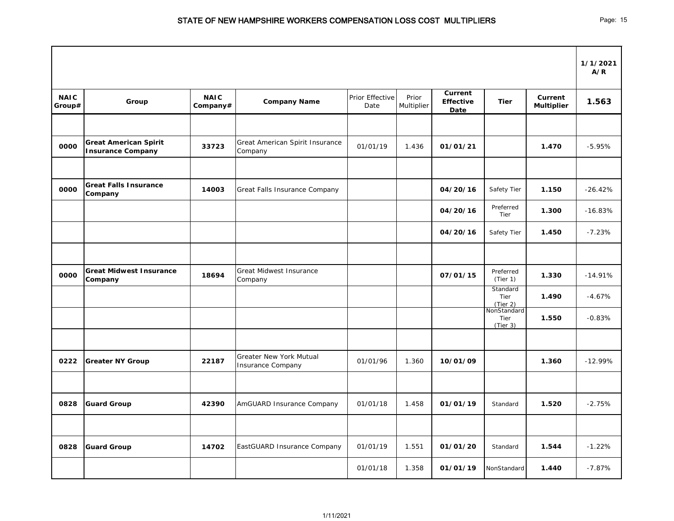|                       |                                                          |                         |                                                            |                         |                     |                                            |                                 |                              | 1/1/2021<br>A/R |
|-----------------------|----------------------------------------------------------|-------------------------|------------------------------------------------------------|-------------------------|---------------------|--------------------------------------------|---------------------------------|------------------------------|-----------------|
| <b>NAIC</b><br>Group# | Group                                                    | <b>NAIC</b><br>Company# | <b>Company Name</b>                                        | Prior Effective<br>Date | Prior<br>Multiplier | <b>Current</b><br><b>Effective</b><br>Date | <b>Tier</b>                     | Current<br><b>Multiplier</b> | 1.563           |
|                       |                                                          |                         |                                                            |                         |                     |                                            |                                 |                              |                 |
| 0000                  | <b>Great American Spirit</b><br><b>Insurance Company</b> | 33723                   | Great American Spirit Insurance<br>Company                 | 01/01/19                | 1.436               | 01/01/21                                   |                                 | 1.470                        | $-5.95%$        |
|                       |                                                          |                         |                                                            |                         |                     |                                            |                                 |                              |                 |
| 0000                  | <b>Great Falls Insurance</b><br><b>Company</b>           | 14003                   | Great Falls Insurance Company                              |                         |                     | 04/20/16                                   | Safety Tier                     | 1.150                        | $-26.42%$       |
|                       |                                                          |                         |                                                            |                         |                     | 04/20/16                                   | Preferred<br>Tier               | 1.300                        | $-16.83%$       |
|                       |                                                          |                         |                                                            |                         |                     | 04/20/16                                   | Safety Tier                     | 1.450                        | $-7.23%$        |
|                       |                                                          |                         |                                                            |                         |                     |                                            |                                 |                              |                 |
| 0000                  | <b>Great Midwest Insurance</b><br><b>Company</b>         | 18694                   | <b>Great Midwest Insurance</b><br>Company                  |                         |                     | 07/01/15                                   | Preferred<br>(Tier 1)           | 1.330                        | $-14.91%$       |
|                       |                                                          |                         |                                                            |                         |                     |                                            | Standard<br>Tier<br>(Tier 2)    | 1.490                        | $-4.67%$        |
|                       |                                                          |                         |                                                            |                         |                     |                                            | NonStandard<br>Tier<br>(Tier 3) | 1.550                        | $-0.83%$        |
|                       |                                                          |                         |                                                            |                         |                     |                                            |                                 |                              |                 |
| 0222                  | <b>Greater NY Group</b>                                  | 22187                   | <b>Greater New York Mutual</b><br><b>Insurance Company</b> | 01/01/96                | 1.360               | 10/01/09                                   |                                 | 1.360                        | $-12.99%$       |
|                       |                                                          |                         |                                                            |                         |                     |                                            |                                 |                              |                 |
| 0828                  | <b>Guard Group</b>                                       | 42390                   | AmGUARD Insurance Company                                  | 01/01/18                | 1.458               | 01/01/19                                   | Standard                        | 1.520                        | $-2.75%$        |
|                       |                                                          |                         |                                                            |                         |                     |                                            |                                 |                              |                 |
| 0828                  | <b>Guard Group</b>                                       | 14702                   | EastGUARD Insurance Company                                | 01/01/19                | 1.551               | 01/01/20                                   | Standard                        | 1.544                        | $-1.22%$        |
|                       |                                                          |                         |                                                            | 01/01/18                | 1.358               | 01/01/19                                   | NonStandard                     | 1.440                        | $-7.87%$        |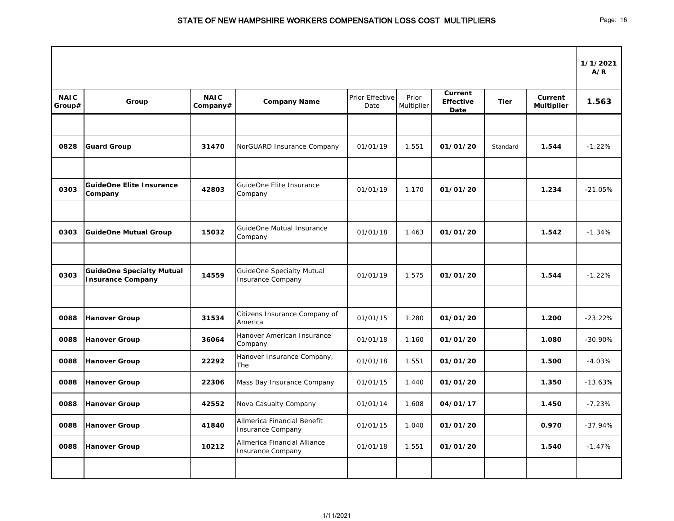|                       |                                                              |                         |                                                              |                         |                     |                                            |             |                              | 1/1/2021<br>A/R |
|-----------------------|--------------------------------------------------------------|-------------------------|--------------------------------------------------------------|-------------------------|---------------------|--------------------------------------------|-------------|------------------------------|-----------------|
| <b>NAIC</b><br>Group# | Group                                                        | <b>NAIC</b><br>Company# | <b>Company Name</b>                                          | Prior Effective<br>Date | Prior<br>Multiplier | <b>Current</b><br><b>Effective</b><br>Date | <b>Tier</b> | Current<br><b>Multiplier</b> | 1.563           |
|                       |                                                              |                         |                                                              |                         |                     |                                            |             |                              |                 |
| 0828                  | <b>Guard Group</b>                                           | 31470                   | NorGUARD Insurance Company                                   | 01/01/19                | 1.551               | 01/01/20                                   | Standard    | 1.544                        | $-1.22%$        |
| 0303                  | <b>GuideOne Elite Insurance</b><br>Company                   | 42803                   | GuideOne Elite Insurance<br>Company                          | 01/01/19                | 1.170               | 01/01/20                                   |             | 1.234                        | $-21.05%$       |
| 0303                  | <b>GuideOne Mutual Group</b>                                 | 15032                   | GuideOne Mutual Insurance<br>Company                         | 01/01/18                | 1.463               | 01/01/20                                   |             | 1.542                        | $-1.34%$        |
|                       |                                                              |                         |                                                              |                         |                     |                                            |             |                              |                 |
| 0303                  | <b>GuideOne Specialty Mutual</b><br><b>Insurance Company</b> | 14559                   | <b>GuideOne Specialty Mutual</b><br><b>Insurance Company</b> | 01/01/19                | 1.575               | 01/01/20                                   |             | 1.544                        | $-1.22%$        |
|                       |                                                              |                         |                                                              |                         |                     |                                            |             |                              |                 |
| 0088                  | <b>Hanover Group</b>                                         | 31534                   | Citizens Insurance Company of<br>America                     | 01/01/15                | 1.280               | 01/01/20                                   |             | 1.200                        | $-23.22%$       |
| 0088                  | Hanover Group                                                | 36064                   | Hanover American Insurance<br>Company                        | 01/01/18                | 1.160               | 01/01/20                                   |             | 1.080                        | $-30.90\%$      |
| 0088                  | Hanover Group                                                | 22292                   | Hanover Insurance Company,<br>The                            | 01/01/18                | 1.551               | 01/01/20                                   |             | 1.500                        | $-4.03%$        |
| 0088                  | Hanover Group                                                | 22306                   | Mass Bay Insurance Company                                   | 01/01/15                | 1.440               | 01/01/20                                   |             | 1.350                        | $-13.63%$       |
| 0088                  | Hanover Group                                                | 42552                   | Nova Casualty Company                                        | 01/01/14                | 1.608               | 04/01/17                                   |             | 1.450                        | $-7.23%$        |
| 0088                  | Hanover Group                                                | 41840                   | Allmerica Financial Benefit<br>Insurance Company             | 01/01/15                | 1.040               | 01/01/20                                   |             | 0.970                        | $-37.94%$       |
| 0088                  | Hanover Group                                                | 10212                   | Allmerica Financial Alliance<br><b>Insurance Company</b>     | 01/01/18                | 1.551               | 01/01/20                                   |             | 1.540                        | $-1.47%$        |
|                       |                                                              |                         |                                                              |                         |                     |                                            |             |                              |                 |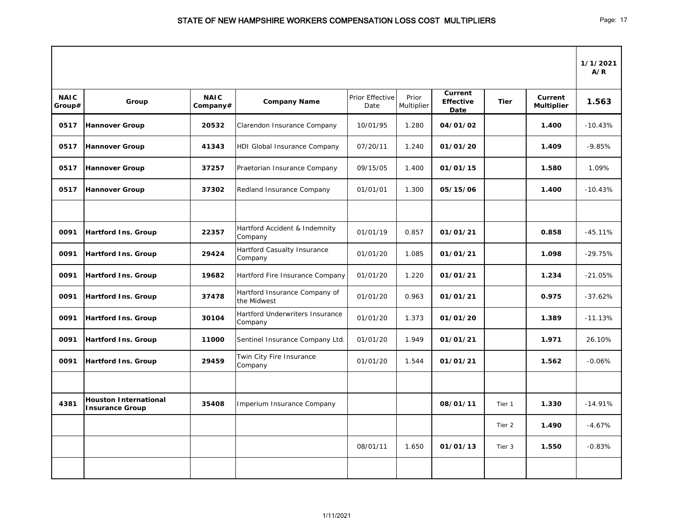|                       |                                                        |                         |                                              |                         |                     |                                            |             |                              | 1/1/2021<br>A/R |
|-----------------------|--------------------------------------------------------|-------------------------|----------------------------------------------|-------------------------|---------------------|--------------------------------------------|-------------|------------------------------|-----------------|
| <b>NAIC</b><br>Group# | Group                                                  | <b>NAIC</b><br>Company# | <b>Company Name</b>                          | Prior Effective<br>Date | Prior<br>Multiplier | <b>Current</b><br><b>Effective</b><br>Date | <b>Tier</b> | Current<br><b>Multiplier</b> | 1.563           |
| 0517                  | <b>Hannover Group</b>                                  | 20532                   | Clarendon Insurance Company                  | 10/01/95                | 1.280               | 04/01/02                                   |             | 1.400                        | $-10.43%$       |
| 0517                  | <b>Hannover Group</b>                                  | 41343                   | HDI Global Insurance Company                 | 07/20/11                | 1.240               | 01/01/20                                   |             | 1.409                        | $-9.85%$        |
| 0517                  | <b>Hannover Group</b>                                  | 37257                   | Praetorian Insurance Company                 | 09/15/05                | 1.400               | 01/01/15                                   |             | 1.580                        | 1.09%           |
| 0517                  | <b>Hannover Group</b>                                  | 37302                   | Redland Insurance Company                    | 01/01/01                | 1.300               | 05/15/06                                   |             | 1.400                        | $-10.43%$       |
|                       |                                                        |                         |                                              |                         |                     |                                            |             |                              |                 |
| 0091                  | <b>Hartford Ins. Group</b>                             | 22357                   | Hartford Accident & Indemnity<br>Company     | 01/01/19                | 0.857               | 01/01/21                                   |             | 0.858                        | $-45.11%$       |
| 0091                  | <b>Hartford Ins. Group</b>                             | 29424                   | Hartford Casualty Insurance<br>Company       | 01/01/20                | 1.085               | 01/01/21                                   |             | 1.098                        | $-29.75%$       |
| 0091                  | <b>Hartford Ins. Group</b>                             | 19682                   | Hartford Fire Insurance Company              | 01/01/20                | 1.220               | 01/01/21                                   |             | 1.234                        | $-21.05%$       |
| 0091                  | <b>Hartford Ins. Group</b>                             | 37478                   | Hartford Insurance Company of<br>the Midwest | 01/01/20                | 0.963               | 01/01/21                                   |             | 0.975                        | $-37.62%$       |
| 0091                  | <b>Hartford Ins. Group</b>                             | 30104                   | Hartford Underwriters Insurance<br>Company   | 01/01/20                | 1.373               | 01/01/20                                   |             | 1.389                        | $-11.13%$       |
| 0091                  | <b>Hartford Ins. Group</b>                             | 11000                   | Sentinel Insurance Company Ltd.              | 01/01/20                | 1.949               | 01/01/21                                   |             | 1.971                        | 26.10%          |
| 0091                  | <b>Hartford Ins. Group</b>                             | 29459                   | Twin City Fire Insurance<br>Company          | 01/01/20                | 1.544               | 01/01/21                                   |             | 1.562                        | $-0.06%$        |
|                       |                                                        |                         |                                              |                         |                     |                                            |             |                              |                 |
| 4381                  | <b>Houston International</b><br><b>Insurance Group</b> | 35408                   | Imperium Insurance Company                   |                         |                     | 08/01/11                                   | Tier 1      | 1.330                        | $-14.91%$       |
|                       |                                                        |                         |                                              |                         |                     |                                            | Tier 2      | 1.490                        | $-4.67%$        |
|                       |                                                        |                         |                                              | 08/01/11                | 1.650               | 01/01/13                                   | Tier 3      | 1.550                        | $-0.83%$        |
|                       |                                                        |                         |                                              |                         |                     |                                            |             |                              |                 |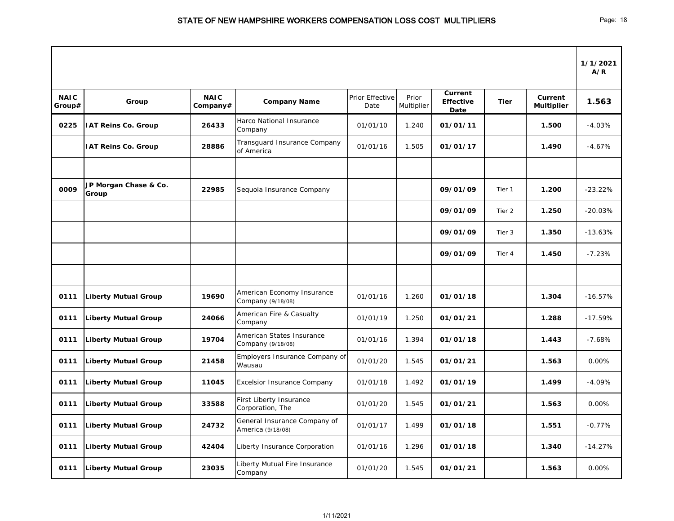|                       |                                |                         |                                                   |                         |                     |                                            |             |                              | 1/1/2021<br>A/R |
|-----------------------|--------------------------------|-------------------------|---------------------------------------------------|-------------------------|---------------------|--------------------------------------------|-------------|------------------------------|-----------------|
| <b>NAIC</b><br>Group# | Group                          | <b>NAIC</b><br>Company# | <b>Company Name</b>                               | Prior Effective<br>Date | Prior<br>Multiplier | <b>Current</b><br><b>Effective</b><br>Date | <b>Tier</b> | Current<br><b>Multiplier</b> | 1.563           |
| 0225                  | <b>IAT Reins Co. Group</b>     | 26433                   | Harco National Insurance<br>Company               | 01/01/10                | 1.240               | 01/01/11                                   |             | 1.500                        | $-4.03%$        |
|                       | <b>IAT Reins Co. Group</b>     | 28886                   | Transguard Insurance Company<br>of America        | 01/01/16                | 1.505               | 01/01/17                                   |             | 1.490                        | $-4.67%$        |
| 0009                  | JP Morgan Chase & Co.<br>Group | 22985                   | Sequoia Insurance Company                         |                         |                     | 09/01/09                                   | Tier 1      | 1.200                        | $-23.22%$       |
|                       |                                |                         |                                                   |                         |                     | 09/01/09                                   | Tier 2      | 1.250                        | $-20.03%$       |
|                       |                                |                         |                                                   |                         |                     | 09/01/09                                   | Tier 3      | 1.350                        | $-13.63%$       |
|                       |                                |                         |                                                   |                         |                     | 09/01/09                                   | Tier 4      | 1.450                        | $-7.23%$        |
|                       |                                |                         |                                                   |                         |                     |                                            |             |                              |                 |
| 0111                  | <b>Liberty Mutual Group</b>    | 19690                   | American Economy Insurance<br>Company (9/18/08)   | 01/01/16                | 1.260               | 01/01/18                                   |             | 1.304                        | $-16.57%$       |
| 0111                  | <b>Liberty Mutual Group</b>    | 24066                   | American Fire & Casualty<br>Company               | 01/01/19                | 1.250               | 01/01/21                                   |             | 1.288                        | $-17.59%$       |
| 0111                  | <b>Liberty Mutual Group</b>    | 19704                   | American States Insurance<br>Company (9/18/08)    | 01/01/16                | 1.394               | 01/01/18                                   |             | 1.443                        | $-7.68%$        |
| 0111                  | Liberty Mutual Group           | 21458                   | Employers Insurance Company of<br>Wausau          | 01/01/20                | 1.545               | 01/01/21                                   |             | 1.563                        | 0.00%           |
| 0111                  | <b>Liberty Mutual Group</b>    | 11045                   | <b>Excelsior Insurance Company</b>                | 01/01/18                | 1.492               | 01/01/19                                   |             | 1.499                        | $-4.09%$        |
| 0111                  | <b>Liberty Mutual Group</b>    | 33588                   | First Liberty Insurance<br>Corporation, The       | 01/01/20                | 1.545               | 01/01/21                                   |             | 1.563                        | 0.00%           |
| 0111                  | <b>Liberty Mutual Group</b>    | 24732                   | General Insurance Company of<br>America (9/18/08) | 01/01/17                | 1.499               | 01/01/18                                   |             | 1.551                        | $-0.77%$        |
| 0111                  | <b>Liberty Mutual Group</b>    | 42404                   | Liberty Insurance Corporation                     | 01/01/16                | 1.296               | 01/01/18                                   |             | 1.340                        | $-14.27%$       |
| 0111                  | <b>Liberty Mutual Group</b>    | 23035                   | Liberty Mutual Fire Insurance<br>Company          | 01/01/20                | 1.545               | 01/01/21                                   |             | 1.563                        | 0.00%           |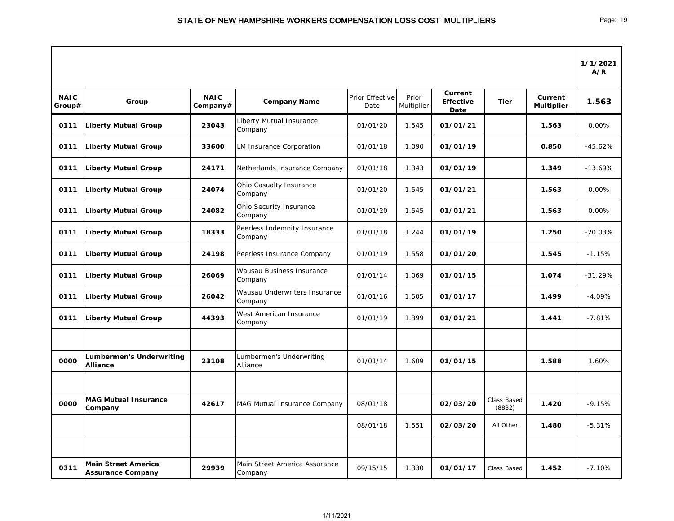|                       |                                                 |                         |                                          |                         |                     |                                     |                       |                              | 1/1/2021<br>A/R |
|-----------------------|-------------------------------------------------|-------------------------|------------------------------------------|-------------------------|---------------------|-------------------------------------|-----------------------|------------------------------|-----------------|
| <b>NAIC</b><br>Group# | Group                                           | <b>NAIC</b><br>Company# | <b>Company Name</b>                      | Prior Effective<br>Date | Prior<br>Multiplier | Current<br><b>Effective</b><br>Date | <b>Tier</b>           | Current<br><b>Multiplier</b> | 1.563           |
| 0111                  | <b>Liberty Mutual Group</b>                     | 23043                   | Liberty Mutual Insurance<br>Company      | 01/01/20                | 1.545               | 01/01/21                            |                       | 1.563                        | 0.00%           |
| 0111                  | <b>Liberty Mutual Group</b>                     | 33600                   | <b>LM Insurance Corporation</b>          | 01/01/18                | 1.090               | 01/01/19                            |                       | 0.850                        | $-45.62%$       |
| 0111                  | Liberty Mutual Group                            | 24171                   | Netherlands Insurance Company            | 01/01/18                | 1.343               | 01/01/19                            |                       | 1.349                        | $-13.69%$       |
| 0111                  | <b>Liberty Mutual Group</b>                     | 24074                   | Ohio Casualty Insurance<br>Company       | 01/01/20                | 1.545               | 01/01/21                            |                       | 1.563                        | 0.00%           |
| 0111                  | <b>Liberty Mutual Group</b>                     | 24082                   | Ohio Security Insurance<br>Company       | 01/01/20                | 1.545               | 01/01/21                            |                       | 1.563                        | 0.00%           |
| 0111                  | <b>Liberty Mutual Group</b>                     | 18333                   | Peerless Indemnity Insurance<br>Company  | 01/01/18                | 1.244               | 01/01/19                            |                       | 1.250                        | $-20.03%$       |
| 0111                  | <b>Liberty Mutual Group</b>                     | 24198                   | Peerless Insurance Company               | 01/01/19                | 1.558               | 01/01/20                            |                       | 1.545                        | $-1.15%$        |
| 0111                  | <b>Liberty Mutual Group</b>                     | 26069                   | Wausau Business Insurance<br>Company     | 01/01/14                | 1.069               | 01/01/15                            |                       | 1.074                        | $-31.29%$       |
| 0111                  | <b>Liberty Mutual Group</b>                     | 26042                   | Wausau Underwriters Insurance<br>Company | 01/01/16                | 1.505               | 01/01/17                            |                       | 1.499                        | $-4.09%$        |
| 0111                  | <b>Liberty Mutual Group</b>                     | 44393                   | West American Insurance<br>Company       | 01/01/19                | 1.399               | 01/01/21                            |                       | 1.441                        | $-7.81%$        |
|                       |                                                 |                         |                                          |                         |                     |                                     |                       |                              |                 |
| 0000                  | Lumbermen's Underwriting<br><b>Alliance</b>     | 23108                   | Lumbermen's Underwriting<br>Alliance     | 01/01/14                | 1.609               | 01/01/15                            |                       | 1.588                        | 1.60%           |
|                       |                                                 |                         |                                          |                         |                     |                                     |                       |                              |                 |
| 0000                  | <b>MAG Mutual Insurance</b><br><b>Company</b>   | 42617                   | MAG Mutual Insurance Company             | 08/01/18                |                     | 02/03/20                            | Class Based<br>(8832) | 1.420                        | $-9.15%$        |
|                       |                                                 |                         |                                          | 08/01/18                | 1.551               | 02/03/20                            | All Other             | 1.480                        | $-5.31%$        |
|                       |                                                 |                         |                                          |                         |                     |                                     |                       |                              |                 |
| 0311                  | Main Street America<br><b>Assurance Company</b> | 29939                   | Main Street America Assurance<br>Company | 09/15/15                | 1.330               | 01/01/17                            | Class Based           | 1.452                        | $-7.10%$        |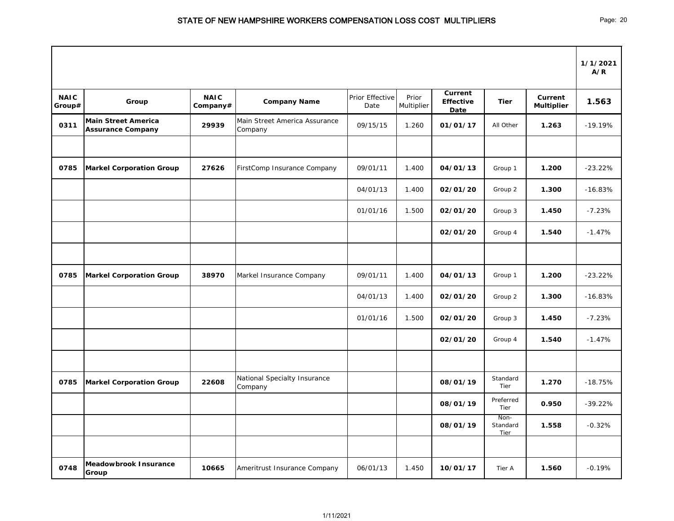|                       |                                                        |                         |                                          |                         |                     |                                            |                          |                              | 1/1/2021<br>A/R |
|-----------------------|--------------------------------------------------------|-------------------------|------------------------------------------|-------------------------|---------------------|--------------------------------------------|--------------------------|------------------------------|-----------------|
| <b>NAIC</b><br>Group# | Group                                                  | <b>NAIC</b><br>Company# | <b>Company Name</b>                      | Prior Effective<br>Date | Prior<br>Multiplier | <b>Current</b><br><b>Effective</b><br>Date | <b>Tier</b>              | Current<br><b>Multiplier</b> | 1.563           |
| 0311                  | <b>Main Street America</b><br><b>Assurance Company</b> | 29939                   | Main Street America Assurance<br>Company | 09/15/15                | 1.260               | 01/01/17                                   | All Other                | 1.263                        | $-19.19%$       |
|                       |                                                        |                         |                                          |                         |                     |                                            |                          |                              |                 |
| 0785                  | <b>Markel Corporation Group</b>                        | 27626                   | FirstComp Insurance Company              | 09/01/11                | 1.400               | 04/01/13                                   | Group 1                  | 1.200                        | $-23.22%$       |
|                       |                                                        |                         |                                          | 04/01/13                | 1.400               | 02/01/20                                   | Group 2                  | 1.300                        | $-16.83%$       |
|                       |                                                        |                         |                                          | 01/01/16                | 1.500               | 02/01/20                                   | Group 3                  | 1.450                        | $-7.23%$        |
|                       |                                                        |                         |                                          |                         |                     | 02/01/20                                   | Group 4                  | 1.540                        | $-1.47%$        |
|                       |                                                        |                         |                                          |                         |                     |                                            |                          |                              |                 |
| 0785                  | <b>Markel Corporation Group</b>                        | 38970                   | Markel Insurance Company                 | 09/01/11                | 1.400               | 04/01/13                                   | Group 1                  | 1.200                        | $-23.22%$       |
|                       |                                                        |                         |                                          | 04/01/13                | 1.400               | 02/01/20                                   | Group 2                  | 1.300                        | $-16.83%$       |
|                       |                                                        |                         |                                          | 01/01/16                | 1.500               | 02/01/20                                   | Group 3                  | 1.450                        | $-7.23%$        |
|                       |                                                        |                         |                                          |                         |                     | 02/01/20                                   | Group 4                  | 1.540                        | $-1.47%$        |
|                       |                                                        |                         |                                          |                         |                     |                                            |                          |                              |                 |
| 0785                  | <b>Markel Corporation Group</b>                        | 22608                   | National Specialty Insurance<br>Company  |                         |                     | 08/01/19                                   | Standard<br>Tier         | 1.270                        | $-18.75%$       |
|                       |                                                        |                         |                                          |                         |                     | 08/01/19                                   | Preferred<br>Tier        | 0.950                        | $-39.22%$       |
|                       |                                                        |                         |                                          |                         |                     | 08/01/19                                   | Non-<br>Standard<br>Tier | 1.558                        | $-0.32%$        |
| 0748                  | <b>Meadowbrook Insurance</b><br>Group                  | 10665                   | Ameritrust Insurance Company             | 06/01/13                | 1.450               | 10/01/17                                   | Tier A                   | 1.560                        | $-0.19%$        |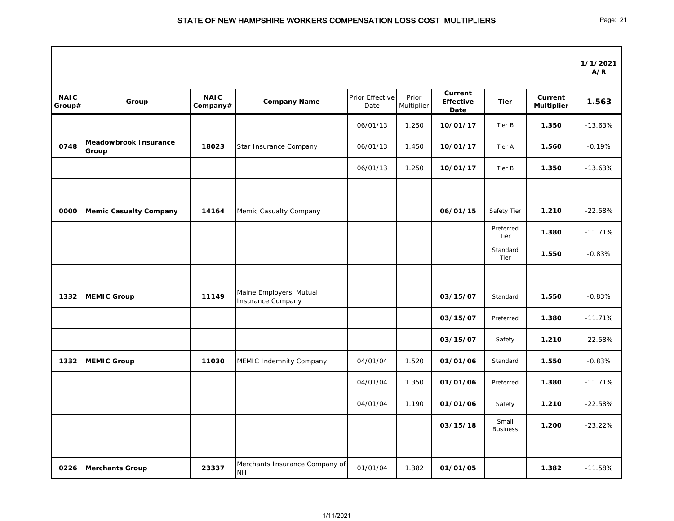|                       |                                       |                         |                                                     |                         |                     |                                            |                          |                              | 1/1/2021<br>A/R |
|-----------------------|---------------------------------------|-------------------------|-----------------------------------------------------|-------------------------|---------------------|--------------------------------------------|--------------------------|------------------------------|-----------------|
| <b>NAIC</b><br>Group# | Group                                 | <b>NAIC</b><br>Company# | <b>Company Name</b>                                 | Prior Effective<br>Date | Prior<br>Multiplier | <b>Current</b><br><b>Effective</b><br>Date | <b>Tier</b>              | Current<br><b>Multiplier</b> | 1.563           |
|                       |                                       |                         |                                                     | 06/01/13                | 1.250               | 10/01/17                                   | Tier B                   | 1.350                        | $-13.63%$       |
| 0748                  | <b>Meadowbrook Insurance</b><br>Group | 18023                   | Star Insurance Company                              | 06/01/13                | 1.450               | 10/01/17                                   | Tier A                   | 1.560                        | $-0.19%$        |
|                       |                                       |                         |                                                     | 06/01/13                | 1.250               | 10/01/17                                   | Tier B                   | 1.350                        | $-13.63%$       |
|                       |                                       |                         |                                                     |                         |                     |                                            |                          |                              |                 |
| 0000                  | <b>Memic Casualty Company</b>         | 14164                   | Memic Casualty Company                              |                         |                     | 06/01/15                                   | Safety Tier              | 1.210                        | $-22.58%$       |
|                       |                                       |                         |                                                     |                         |                     |                                            | Preferred<br>Tier        | 1.380                        | $-11.71%$       |
|                       |                                       |                         |                                                     |                         |                     |                                            | Standard<br>Tier         | 1.550                        | $-0.83%$        |
|                       |                                       |                         |                                                     |                         |                     |                                            |                          |                              |                 |
| 1332                  | <b>MEMIC Group</b>                    | 11149                   | Maine Employers' Mutual<br><b>Insurance Company</b> |                         |                     | 03/15/07                                   | Standard                 | 1.550                        | $-0.83%$        |
|                       |                                       |                         |                                                     |                         |                     | 03/15/07                                   | Preferred                | 1.380                        | $-11.71%$       |
|                       |                                       |                         |                                                     |                         |                     | 03/15/07                                   | Safety                   | 1.210                        | $-22.58%$       |
| 1332                  | <b>MEMIC Group</b>                    | 11030                   | MEMIC Indemnity Company                             | 04/01/04                | 1.520               | 01/01/06                                   | Standard                 | 1.550                        | $-0.83%$        |
|                       |                                       |                         |                                                     | 04/01/04                | 1.350               | 01/01/06                                   | Preferred                | 1.380                        | $-11.71%$       |
|                       |                                       |                         |                                                     | 04/01/04                | 1.190               | 01/01/06                                   | Safety                   | 1.210                        | $-22.58%$       |
|                       |                                       |                         |                                                     |                         |                     | 03/15/18                                   | Small<br><b>Business</b> | 1.200                        | $-23.22%$       |
|                       |                                       |                         |                                                     |                         |                     |                                            |                          |                              |                 |
| 0226                  | <b>Merchants Group</b>                | 23337                   | Merchants Insurance Company of<br><b>NH</b>         | 01/01/04                | 1.382               | 01/01/05                                   |                          | 1.382                        | $-11.58%$       |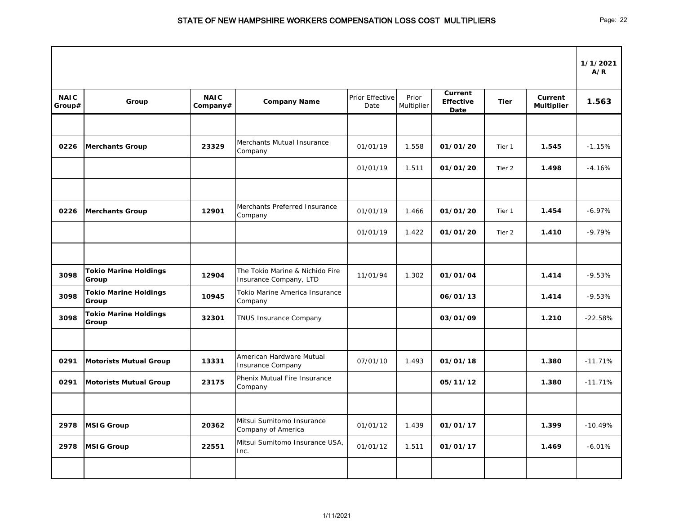|                       |                                       |                         |                                                           |                         |                     |                                     |             |                              | 1/1/2021<br>A/R |
|-----------------------|---------------------------------------|-------------------------|-----------------------------------------------------------|-------------------------|---------------------|-------------------------------------|-------------|------------------------------|-----------------|
| <b>NAIC</b><br>Group# | Group                                 | <b>NAIC</b><br>Company# | <b>Company Name</b>                                       | Prior Effective<br>Date | Prior<br>Multiplier | Current<br><b>Effective</b><br>Date | <b>Tier</b> | Current<br><b>Multiplier</b> | 1.563           |
|                       |                                       |                         |                                                           |                         |                     |                                     |             |                              |                 |
| 0226                  | <b>Merchants Group</b>                | 23329                   | Merchants Mutual Insurance<br>Company                     | 01/01/19                | 1.558               | 01/01/20                            | Tier 1      | 1.545                        | $-1.15%$        |
|                       |                                       |                         |                                                           | 01/01/19                | 1.511               | 01/01/20                            | Tier 2      | 1.498                        | $-4.16%$        |
|                       |                                       |                         |                                                           |                         |                     |                                     |             |                              |                 |
| 0226                  | <b>Merchants Group</b>                | 12901                   | Merchants Preferred Insurance<br>Company                  | 01/01/19                | 1.466               | 01/01/20                            | Tier 1      | 1.454                        | $-6.97%$        |
|                       |                                       |                         |                                                           | 01/01/19                | 1.422               | 01/01/20                            | Tier 2      | 1.410                        | $-9.79%$        |
|                       |                                       |                         |                                                           |                         |                     |                                     |             |                              |                 |
| 3098                  | <b>Tokio Marine Holdings</b><br>Group | 12904                   | The Tokio Marine & Nichido Fire<br>Insurance Company, LTD | 11/01/94                | 1.302               | 01/01/04                            |             | 1.414                        | $-9.53%$        |
| 3098                  | <b>Tokio Marine Holdings</b><br>Group | 10945                   | Tokio Marine America Insurance<br>Company                 |                         |                     | 06/01/13                            |             | 1.414                        | $-9.53%$        |
| 3098                  | <b>Tokio Marine Holdings</b><br>Group | 32301                   | <b>TNUS Insurance Company</b>                             |                         |                     | 03/01/09                            |             | 1.210                        | $-22.58%$       |
|                       |                                       |                         |                                                           |                         |                     |                                     |             |                              |                 |
| 0291                  | Motorists Mutual Group                | 13331                   | American Hardware Mutual<br><b>Insurance Company</b>      | 07/01/10                | 1.493               | 01/01/18                            |             | 1.380                        | $-11.71%$       |
| 0291                  | <b>Motorists Mutual Group</b>         | 23175                   | Phenix Mutual Fire Insurance<br>Company                   |                         |                     | 05/11/12                            |             | 1.380                        | $-11.71%$       |
|                       |                                       |                         |                                                           |                         |                     |                                     |             |                              |                 |
| 2978                  | <b>MSIG Group</b>                     | 20362                   | Mitsui Sumitomo Insurance<br>Company of America           | 01/01/12                | 1.439               | 01/01/17                            |             | 1.399                        | $-10.49%$       |
| 2978                  | <b>MSIG Group</b>                     | 22551                   | Mitsui Sumitomo Insurance USA,<br>Inc.                    | 01/01/12                | 1.511               | 01/01/17                            |             | 1.469                        | $-6.01%$        |
|                       |                                       |                         |                                                           |                         |                     |                                     |             |                              |                 |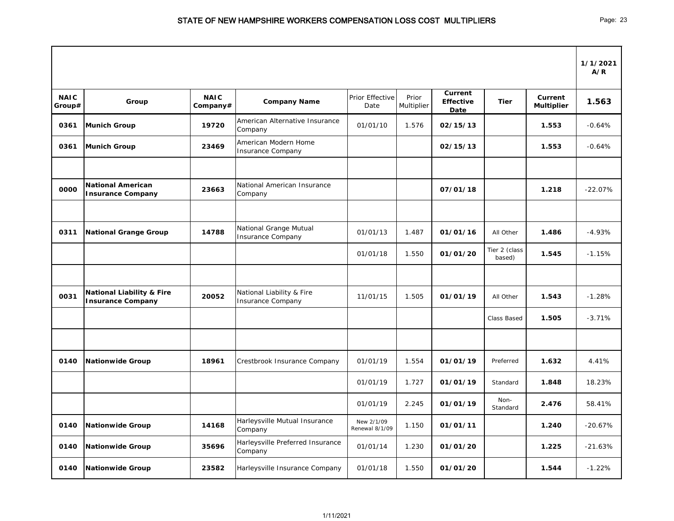|                       |                                                                  |                         |                                                       |                              |                     |                                            |                                      |                                     | 1/1/2021<br>A/R |
|-----------------------|------------------------------------------------------------------|-------------------------|-------------------------------------------------------|------------------------------|---------------------|--------------------------------------------|--------------------------------------|-------------------------------------|-----------------|
| <b>NAIC</b><br>Group# | Group                                                            | <b>NAIC</b><br>Company# | <b>Company Name</b>                                   | Prior Effective<br>Date      | Prior<br>Multiplier | <b>Current</b><br><b>Effective</b><br>Date | <b>Tier</b>                          | <b>Current</b><br><b>Multiplier</b> | 1.563           |
| 0361                  | <b>Munich Group</b>                                              | 19720                   | American Alternative Insurance<br>Company             | 01/01/10                     | 1.576               | 02/15/13                                   |                                      | 1.553                               | $-0.64%$        |
| 0361                  | <b>Munich Group</b>                                              | 23469                   | American Modern Home<br><b>Insurance Company</b>      |                              |                     | 02/15/13                                   |                                      | 1.553                               | $-0.64%$        |
| 0000                  | <b>National American</b><br><b>Insurance Company</b>             | 23663                   | National American Insurance<br>Company                |                              |                     | 07/01/18                                   |                                      | 1.218                               | $-22.07%$       |
| 0311                  |                                                                  | 14788                   | National Grange Mutual                                | 01/01/13                     | 1.487               | 01/01/16                                   |                                      | 1.486                               | $-4.93%$        |
|                       | <b>National Grange Group</b>                                     |                         | <b>Insurance Company</b>                              | 01/01/18                     | 1.550               | 01/01/20                                   | All Other<br>Tier 2 (class<br>based) | 1.545                               | $-1.15%$        |
|                       |                                                                  |                         |                                                       |                              |                     |                                            |                                      |                                     |                 |
| 0031                  | <b>National Liability &amp; Fire</b><br><b>Insurance Company</b> | 20052                   | National Liability & Fire<br><b>Insurance Company</b> | 11/01/15                     | 1.505               | 01/01/19                                   | All Other                            | 1.543                               | $-1.28%$        |
|                       |                                                                  |                         |                                                       |                              |                     |                                            | <b>Class Based</b>                   | 1.505                               | $-3.71%$        |
|                       |                                                                  |                         |                                                       |                              |                     |                                            |                                      |                                     |                 |
| 0140                  | <b>Nationwide Group</b>                                          | 18961                   | Crestbrook Insurance Company                          | 01/01/19                     | 1.554               | 01/01/19                                   | Preferred                            | 1.632                               | 4.41%           |
|                       |                                                                  |                         |                                                       | 01/01/19                     | 1.727               | 01/01/19                                   | Standard                             | 1.848                               | 18.23%          |
|                       |                                                                  |                         |                                                       | 01/01/19                     | 2.245               | 01/01/19                                   | Non-<br>Standard                     | 2.476                               | 58.41%          |
| 0140                  | <b>Nationwide Group</b>                                          | 14168                   | Harleysville Mutual Insurance<br>Company              | New 2/1/09<br>Renewal 8/1/09 | 1.150               | 01/01/11                                   |                                      | 1.240                               | $-20.67%$       |
| 0140                  | <b>Nationwide Group</b>                                          | 35696                   | Harleysville Preferred Insurance<br>Company           | 01/01/14                     | 1.230               | 01/01/20                                   |                                      | 1.225                               | $-21.63%$       |
| 0140                  | <b>Nationwide Group</b>                                          | 23582                   | Harleysville Insurance Company                        | 01/01/18                     | 1.550               | 01/01/20                                   |                                      | 1.544                               | $-1.22%$        |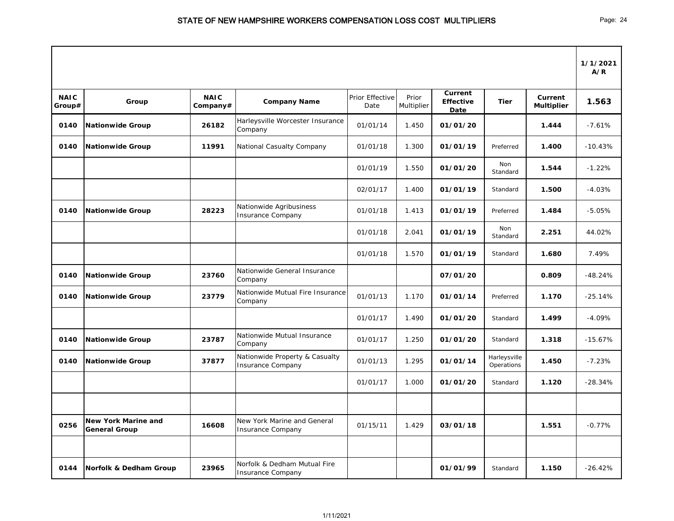|                       |                                                    |                         |                                                            |                         |                     |                                            |                            |                                     | 1/1/2021<br>A/R |
|-----------------------|----------------------------------------------------|-------------------------|------------------------------------------------------------|-------------------------|---------------------|--------------------------------------------|----------------------------|-------------------------------------|-----------------|
| <b>NAIC</b><br>Group# | Group                                              | <b>NAIC</b><br>Company# | <b>Company Name</b>                                        | Prior Effective<br>Date | Prior<br>Multiplier | <b>Current</b><br><b>Effective</b><br>Date | <b>Tier</b>                | <b>Current</b><br><b>Multiplier</b> | 1.563           |
| 0140                  | Nationwide Group                                   | 26182                   | Harleysville Worcester Insurance<br>Company                | 01/01/14                | 1.450               | 01/01/20                                   |                            | 1.444                               | $-7.61%$        |
| 0140                  | <b>Nationwide Group</b>                            | 11991                   | National Casualty Company                                  | 01/01/18                | 1.300               | 01/01/19                                   | Preferred                  | 1.400                               | $-10.43%$       |
|                       |                                                    |                         |                                                            | 01/01/19                | 1.550               | 01/01/20                                   | Non<br>Standard            | 1.544                               | $-1.22%$        |
|                       |                                                    |                         |                                                            | 02/01/17                | 1.400               | 01/01/19                                   | Standard                   | 1.500                               | $-4.03%$        |
| 0140                  | <b>Nationwide Group</b>                            | 28223                   | Nationwide Agribusiness<br><b>Insurance Company</b>        | 01/01/18                | 1.413               | 01/01/19                                   | Preferred                  | 1.484                               | $-5.05%$        |
|                       |                                                    |                         |                                                            | 01/01/18                | 2.041               | 01/01/19                                   | Non<br>Standard            | 2.251                               | 44.02%          |
|                       |                                                    |                         |                                                            | 01/01/18                | 1.570               | 01/01/19                                   | Standard                   | 1.680                               | 7.49%           |
| 0140                  | <b>Nationwide Group</b>                            | 23760                   | Nationwide General Insurance<br>Company                    |                         |                     | 07/01/20                                   |                            | 0.809                               | $-48.24%$       |
| 0140                  | <b>Nationwide Group</b>                            | 23779                   | Nationwide Mutual Fire Insurance<br>Company                | 01/01/13                | 1.170               | 01/01/14                                   | Preferred                  | 1.170                               | $-25.14%$       |
|                       |                                                    |                         |                                                            | 01/01/17                | 1.490               | 01/01/20                                   | Standard                   | 1.499                               | $-4.09%$        |
| 0140                  | Nationwide Group                                   | 23787                   | Nationwide Mutual Insurance<br>Company                     | 01/01/17                | 1.250               | 01/01/20                                   | Standard                   | 1.318                               | $-15.67%$       |
| 0140                  | Nationwide Group                                   | 37877                   | Nationwide Property & Casualty<br><b>Insurance Company</b> | 01/01/13                | 1.295               | 01/01/14                                   | Harleysville<br>Operations | 1.450                               | $-7.23%$        |
|                       |                                                    |                         |                                                            | 01/01/17                | 1.000               | 01/01/20                                   | Standard                   | 1.120                               | $-28.34%$       |
| 0256                  | <b>New York Marine and</b><br><b>General Group</b> | 16608                   | New York Marine and General<br><b>Insurance Company</b>    | 01/15/11                | 1.429               | 03/01/18                                   |                            | 1.551                               | $-0.77%$        |
| 0144                  | Norfolk & Dedham Group                             | 23965                   | Norfolk & Dedham Mutual Fire<br>Insurance Company          |                         |                     | 01/01/99                                   | Standard                   | 1.150                               | $-26.42%$       |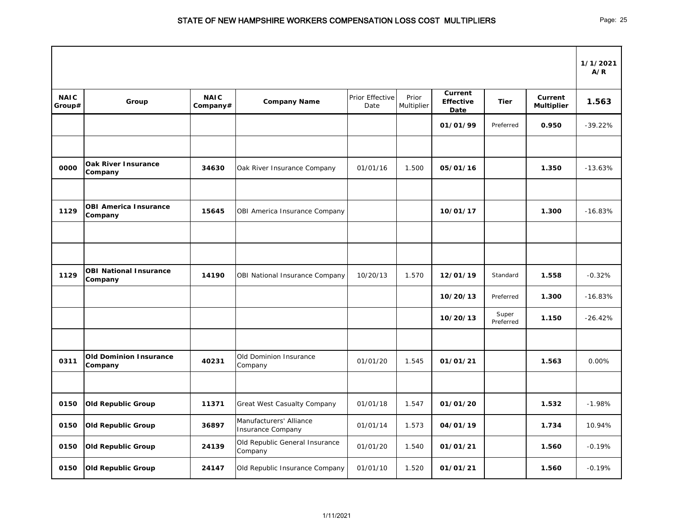|                       |                                          |                         |                                              |                         |                     |                                            |                    |                              | 1/1/2021<br>A/R |
|-----------------------|------------------------------------------|-------------------------|----------------------------------------------|-------------------------|---------------------|--------------------------------------------|--------------------|------------------------------|-----------------|
| <b>NAIC</b><br>Group# | Group                                    | <b>NAIC</b><br>Company# | <b>Company Name</b>                          | Prior Effective<br>Date | Prior<br>Multiplier | <b>Current</b><br><b>Effective</b><br>Date | <b>Tier</b>        | Current<br><b>Multiplier</b> | 1.563           |
|                       |                                          |                         |                                              |                         |                     | 01/01/99                                   | Preferred          | 0.950                        | $-39.22%$       |
|                       |                                          |                         |                                              |                         |                     |                                            |                    |                              |                 |
| 0000                  | <b>Oak River Insurance</b><br>Company    | 34630                   | Oak River Insurance Company                  | 01/01/16                | 1.500               | 05/01/16                                   |                    | 1.350                        | $-13.63%$       |
| 1129                  | <b>OBI America Insurance</b><br>Company  | 15645                   | OBI America Insurance Company                |                         |                     | 10/01/17                                   |                    | 1.300                        | $-16.83%$       |
|                       |                                          |                         |                                              |                         |                     |                                            |                    |                              |                 |
|                       |                                          |                         |                                              |                         |                     |                                            |                    |                              |                 |
| 1129                  | <b>OBI National Insurance</b><br>Company | 14190                   | OBI National Insurance Company               | 10/20/13                | 1.570               | 12/01/19                                   | Standard           | 1.558                        | $-0.32%$        |
|                       |                                          |                         |                                              |                         |                     | 10/20/13                                   | Preferred          | 1.300                        | $-16.83%$       |
|                       |                                          |                         |                                              |                         |                     | 10/20/13                                   | Super<br>Preferred | 1.150                        | $-26.42%$       |
|                       |                                          |                         |                                              |                         |                     |                                            |                    |                              |                 |
| 0311                  | <b>Old Dominion Insurance</b><br>Company | 40231                   | Old Dominion Insurance<br>Company            | 01/01/20                | 1.545               | 01/01/21                                   |                    | 1.563                        | $0.00\%$        |
|                       |                                          |                         |                                              |                         |                     |                                            |                    |                              |                 |
| 0150                  | <b>Old Republic Group</b>                | 11371                   | <b>Great West Casualty Company</b>           | 01/01/18                | 1.547               | 01/01/20                                   |                    | 1.532                        | $-1.98%$        |
| 0150                  | <b>Old Republic Group</b>                | 36897                   | Manufacturers' Alliance<br>Insurance Company | 01/01/14                | 1.573               | 04/01/19                                   |                    | 1.734                        | 10.94%          |
| 0150                  | <b>Old Republic Group</b>                | 24139                   | Old Republic General Insurance<br>Company    | 01/01/20                | 1.540               | 01/01/21                                   |                    | 1.560                        | $-0.19%$        |
| 0150                  | <b>Old Republic Group</b>                | 24147                   | Old Republic Insurance Company               | 01/01/10                | 1.520               | 01/01/21                                   |                    | 1.560                        | $-0.19%$        |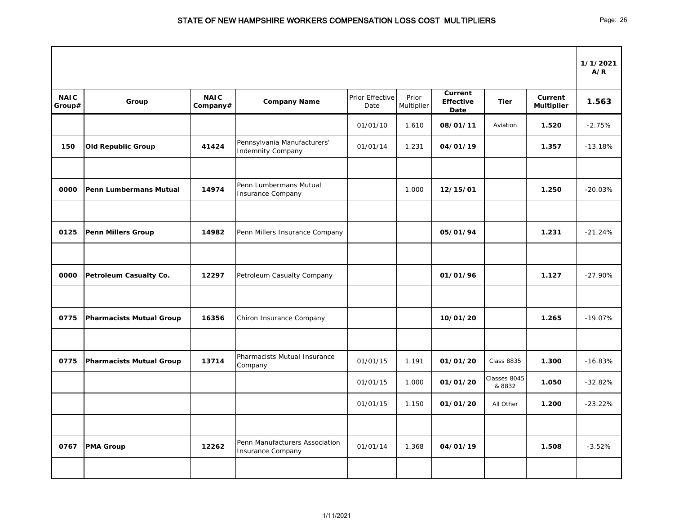|                       |                                 |                         |                                                         |                         |                     |                                     |                        |                              | 1/1/2021<br>A/R |
|-----------------------|---------------------------------|-------------------------|---------------------------------------------------------|-------------------------|---------------------|-------------------------------------|------------------------|------------------------------|-----------------|
| <b>NAIC</b><br>Group# | Group                           | <b>NAIC</b><br>Company# | <b>Company Name</b>                                     | Prior Effective<br>Date | Prior<br>Multiplier | Current<br><b>Effective</b><br>Date | <b>Tier</b>            | Current<br><b>Multiplier</b> | 1.563           |
|                       |                                 |                         |                                                         | 01/01/10                | 1.610               | 08/01/11                            | Aviation               | 1.520                        | $-2.75%$        |
| 150                   | <b>Old Republic Group</b>       | 41424                   | Pennsylvania Manufacturers'<br><b>Indemnity Company</b> | 01/01/14                | 1.231               | 04/01/19                            |                        | 1.357                        | $-13.18%$       |
| 0000                  | <b>Penn Lumbermans Mutual</b>   | 14974                   | Penn Lumbermans Mutual<br><b>Insurance Company</b>      |                         | 1.000               | 12/15/01                            |                        | 1.250                        | $-20.03%$       |
| 0125                  | <b>Penn Millers Group</b>       | 14982                   | Penn Millers Insurance Company                          |                         |                     | 05/01/94                            |                        | 1.231                        | $-21.24%$       |
| 0000                  | Petroleum Casualty Co.          | 12297                   | Petroleum Casualty Company                              |                         |                     | 01/01/96                            |                        | 1.127                        | $-27.90%$       |
| 0775                  | <b>Pharmacists Mutual Group</b> | 16356                   | Chiron Insurance Company                                |                         |                     | 10/01/20                            |                        | 1.265                        | $-19.07%$       |
| 0775                  | <b>Pharmacists Mutual Group</b> | 13714                   | Pharmacists Mutual Insurance<br>Company                 | 01/01/15                | 1.191               | 01/01/20                            | <b>Class 8835</b>      | 1.300                        | $-16.83%$       |
|                       |                                 |                         |                                                         | 01/01/15                | 1.000               | 01/01/20                            | Classes 8045<br>& 8832 | 1.050                        | $-32.82%$       |
|                       |                                 |                         |                                                         | 01/01/15                | 1.150               | 01/01/20                            | All Other              | 1.200                        | $-23.22%$       |
| 0767                  | <b>PMA Group</b>                | 12262                   | Penn Manufacturers Association<br>Insurance Company     | 01/01/14                | 1.368               | 04/01/19                            |                        | 1.508                        | $-3.52%$        |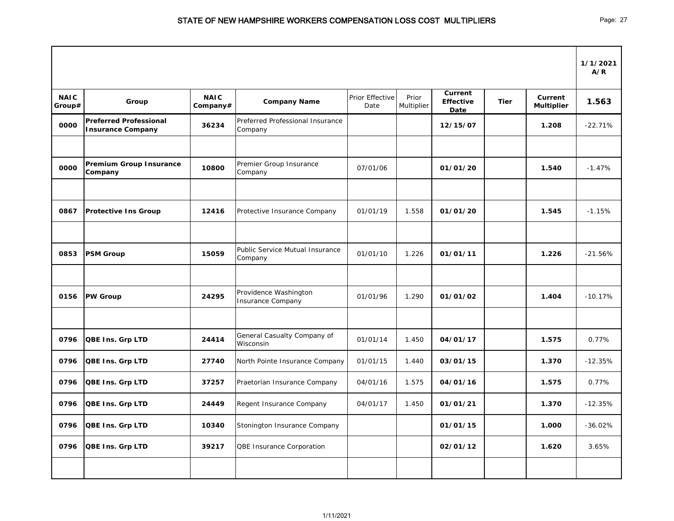|                       |                                                           |                         |                                                   |                         |                     |                                            |             |                                     | 1/1/2021<br>A/R |
|-----------------------|-----------------------------------------------------------|-------------------------|---------------------------------------------------|-------------------------|---------------------|--------------------------------------------|-------------|-------------------------------------|-----------------|
| <b>NAIC</b><br>Group# | Group                                                     | <b>NAIC</b><br>Company# | <b>Company Name</b>                               | Prior Effective<br>Date | Prior<br>Multiplier | <b>Current</b><br><b>Effective</b><br>Date | <b>Tier</b> | <b>Current</b><br><b>Multiplier</b> | 1.563           |
| 0000                  | <b>Preferred Professional</b><br><b>Insurance Company</b> | 36234                   | Preferred Professional Insurance<br>Company       |                         |                     | 12/15/07                                   |             | 1.208                               | $-22.71%$       |
| 0000                  | <b>Premium Group Insurance</b><br>Company                 | 10800                   | Premier Group Insurance<br>Company                | 07/01/06                |                     | 01/01/20                                   |             | 1.540                               | $-1.47%$        |
| 0867                  | <b>Protective Ins Group</b>                               | 12416                   | Protective Insurance Company                      | 01/01/19                | 1.558               | 01/01/20                                   |             | 1.545                               | $-1.15%$        |
| 0853                  | <b>PSM Group</b>                                          | 15059                   | Public Service Mutual Insurance<br>Company        | 01/01/10                | 1.226               | 01/01/11                                   |             | 1.226                               | $-21.56%$       |
| 0156                  | <b>PW Group</b>                                           | 24295                   | Providence Washington<br><b>Insurance Company</b> | 01/01/96                | 1.290               | 01/01/02                                   |             | 1.404                               | $-10.17%$       |
| 0796                  | <b>QBE Ins. Grp LTD</b>                                   | 24414                   | General Casualty Company of<br>Wisconsin          | 01/01/14                | 1.450               | 04/01/17                                   |             | 1.575                               | 0.77%           |
| 0796                  | <b>QBE Ins. Grp LTD</b>                                   | 27740                   | North Pointe Insurance Company                    | 01/01/15                | 1.440               | 03/01/15                                   |             | 1.370                               | $-12.35%$       |
| 0796                  | <b>QBE Ins. Grp LTD</b>                                   | 37257                   | Praetorian Insurance Company                      | 04/01/16                | 1.575               | 04/01/16                                   |             | 1.575                               | 0.77%           |
| 0796                  | <b>QBE Ins. Grp LTD</b>                                   | 24449                   | Regent Insurance Company                          | 04/01/17                | 1.450               | 01/01/21                                   |             | 1.370                               | $-12.35%$       |
| 0796                  | <b>QBE Ins. Grp LTD</b>                                   | 10340                   | Stonington Insurance Company                      |                         |                     | 01/01/15                                   |             | 1.000                               | $-36.02%$       |
| 0796                  | <b>QBE Ins. Grp LTD</b>                                   | 39217                   | <b>QBE Insurance Corporation</b>                  |                         |                     | 02/01/12                                   |             | 1.620                               | 3.65%           |
|                       |                                                           |                         |                                                   |                         |                     |                                            |             |                                     |                 |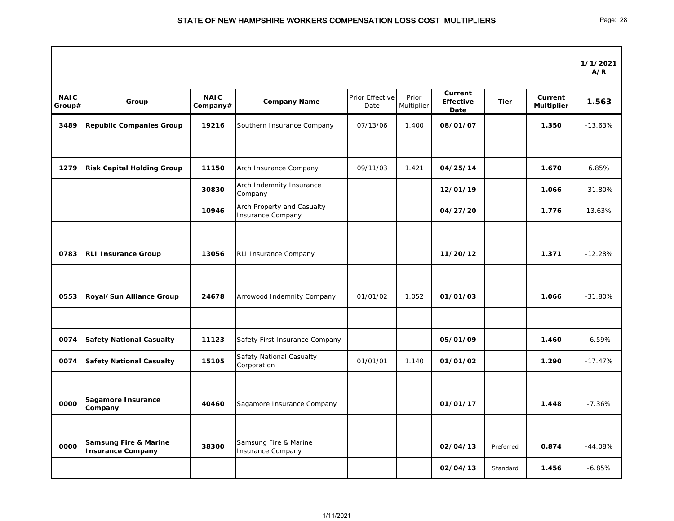|                       |                                                              |                         |                                                        |                         |                     |                                            |             |                              | 1/1/2021<br>A/R |
|-----------------------|--------------------------------------------------------------|-------------------------|--------------------------------------------------------|-------------------------|---------------------|--------------------------------------------|-------------|------------------------------|-----------------|
| <b>NAIC</b><br>Group# | Group                                                        | <b>NAIC</b><br>Company# | <b>Company Name</b>                                    | Prior Effective<br>Date | Prior<br>Multiplier | <b>Current</b><br><b>Effective</b><br>Date | <b>Tier</b> | Current<br><b>Multiplier</b> | 1.563           |
| 3489                  | <b>Republic Companies Group</b>                              | 19216                   | Southern Insurance Company                             | 07/13/06                | 1.400               | 08/01/07                                   |             | 1.350                        | $-13.63%$       |
|                       |                                                              |                         |                                                        |                         |                     |                                            |             |                              |                 |
| 1279                  | <b>Risk Capital Holding Group</b>                            | 11150                   | Arch Insurance Company                                 | 09/11/03                | 1.421               | 04/25/14                                   |             | 1.670                        | 6.85%           |
|                       |                                                              | 30830                   | Arch Indemnity Insurance<br>Company                    |                         |                     | 12/01/19                                   |             | 1.066                        | $-31.80%$       |
|                       |                                                              | 10946                   | Arch Property and Casualty<br><b>Insurance Company</b> |                         |                     | 04/27/20                                   |             | 1.776                        | 13.63%          |
|                       |                                                              |                         |                                                        |                         |                     |                                            |             |                              |                 |
| 0783                  | <b>RLI Insurance Group</b>                                   | 13056                   | RLI Insurance Company                                  |                         |                     | 11/20/12                                   |             | 1.371                        | $-12.28%$       |
|                       |                                                              |                         |                                                        |                         |                     |                                            |             |                              |                 |
| 0553                  | Royal/Sun Alliance Group                                     | 24678                   | Arrowood Indemnity Company                             | 01/01/02                | 1.052               | 01/01/03                                   |             | 1.066                        | $-31.80%$       |
|                       |                                                              |                         |                                                        |                         |                     |                                            |             |                              |                 |
| 0074                  | <b>Safety National Casualty</b>                              | 11123                   | Safety First Insurance Company                         |                         |                     | 05/01/09                                   |             | 1.460                        | $-6.59%$        |
| 0074                  | <b>Safety National Casualty</b>                              | 15105                   | Safety National Casualty<br>Corporation                | 01/01/01                | 1.140               | 01/01/02                                   |             | 1.290                        | $-17.47%$       |
|                       |                                                              |                         |                                                        |                         |                     |                                            |             |                              |                 |
| 0000                  | Sagamore Insurance<br>Company                                | 40460                   | Sagamore Insurance Company                             |                         |                     | 01/01/17                                   |             | 1.448                        | $-7.36%$        |
|                       |                                                              |                         |                                                        |                         |                     |                                            |             |                              |                 |
| 0000                  | <b>Samsung Fire &amp; Marine</b><br><b>Insurance Company</b> | 38300                   | Samsung Fire & Marine<br>Insurance Company             |                         |                     | 02/04/13                                   | Preferred   | 0.874                        | $-44.08%$       |
|                       |                                                              |                         |                                                        |                         |                     | 02/04/13                                   | Standard    | 1.456                        | $-6.85%$        |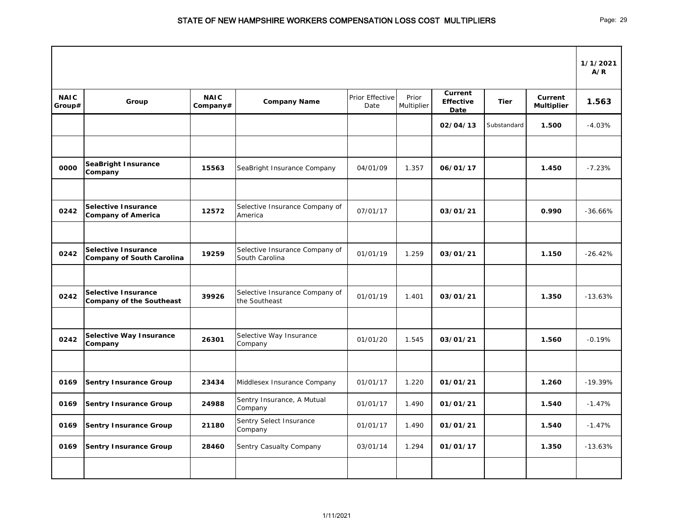|                       |                                                                |                         |                                                  |                         |                     |                                     |             |                                     | 1/1/2021<br>A/R |
|-----------------------|----------------------------------------------------------------|-------------------------|--------------------------------------------------|-------------------------|---------------------|-------------------------------------|-------------|-------------------------------------|-----------------|
| <b>NAIC</b><br>Group# | Group                                                          | <b>NAIC</b><br>Company# | <b>Company Name</b>                              | Prior Effective<br>Date | Prior<br>Multiplier | Current<br><b>Effective</b><br>Date | <b>Tier</b> | <b>Current</b><br><b>Multiplier</b> | 1.563           |
|                       |                                                                |                         |                                                  |                         |                     | 02/04/13                            | Substandard | 1.500                               | $-4.03%$        |
|                       |                                                                |                         |                                                  |                         |                     |                                     |             |                                     |                 |
| 0000                  | <b>SeaBright Insurance</b><br>Company                          | 15563                   | SeaBright Insurance Company                      | 04/01/09                | 1.357               | 06/01/17                            |             | 1.450                               | $-7.23%$        |
|                       |                                                                |                         |                                                  |                         |                     |                                     |             |                                     |                 |
| 0242                  | <b>Selective Insurance</b><br><b>Company of America</b>        | 12572                   | Selective Insurance Company of<br>America        | 07/01/17                |                     | 03/01/21                            |             | 0.990                               | $-36.66%$       |
|                       |                                                                |                         |                                                  |                         |                     |                                     |             |                                     |                 |
| 0242                  | <b>Selective Insurance</b><br><b>Company of South Carolina</b> | 19259                   | Selective Insurance Company of<br>South Carolina | 01/01/19                | 1.259               | 03/01/21                            |             | 1.150                               | $-26.42%$       |
|                       |                                                                |                         |                                                  |                         |                     |                                     |             |                                     |                 |
| 0242                  | <b>Selective Insurance</b><br><b>Company of the Southeast</b>  | 39926                   | Selective Insurance Company of<br>the Southeast  | 01/01/19                | 1.401               | 03/01/21                            |             | 1.350                               | $-13.63%$       |
|                       |                                                                |                         |                                                  |                         |                     |                                     |             |                                     |                 |
| 0242                  | <b>Selective Way Insurance</b><br>Company                      | 26301                   | Selective Way Insurance<br>Company               | 01/01/20                | 1.545               | 03/01/21                            |             | 1.560                               | $-0.19%$        |
|                       |                                                                |                         |                                                  |                         |                     |                                     |             |                                     |                 |
| 0169                  | <b>Sentry Insurance Group</b>                                  | 23434                   | Middlesex Insurance Company                      | 01/01/17                | 1.220               | 01/01/21                            |             | 1.260                               | $-19.39%$       |
| 0169                  | <b>Sentry Insurance Group</b>                                  | 24988                   | Sentry Insurance, A Mutual<br>Company            | 01/01/17                | 1.490               | 01/01/21                            |             | 1.540                               | $-1.47%$        |
| 0169                  | <b>Sentry Insurance Group</b>                                  | 21180                   | Sentry Select Insurance<br>Company               | 01/01/17                | 1.490               | 01/01/21                            |             | 1.540                               | $-1.47%$        |
| 0169                  | <b>Sentry Insurance Group</b>                                  | 28460                   | Sentry Casualty Company                          | 03/01/14                | 1.294               | 01/01/17                            |             | 1.350                               | $-13.63%$       |
|                       |                                                                |                         |                                                  |                         |                     |                                     |             |                                     |                 |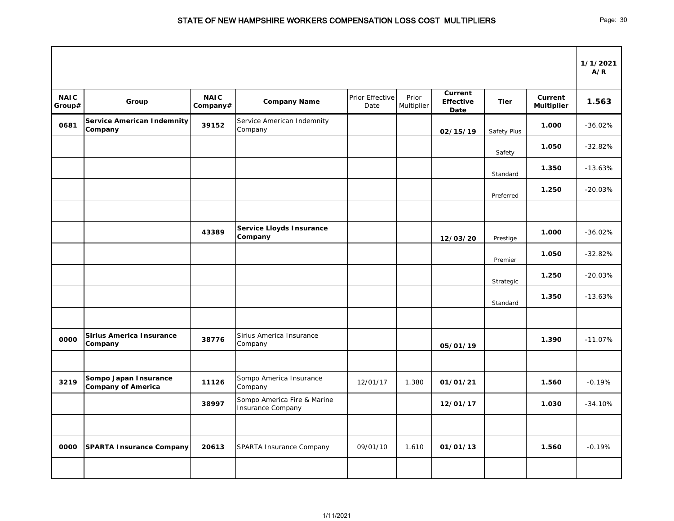|                       |                                                    |                         |                                                         |                         |                     |                                            |             |                              | 1/1/2021<br>A/R |
|-----------------------|----------------------------------------------------|-------------------------|---------------------------------------------------------|-------------------------|---------------------|--------------------------------------------|-------------|------------------------------|-----------------|
| <b>NAIC</b><br>Group# | Group                                              | <b>NAIC</b><br>Company# | <b>Company Name</b>                                     | Prior Effective<br>Date | Prior<br>Multiplier | Current<br><b>Effective</b><br><b>Date</b> | <b>Tier</b> | Current<br><b>Multiplier</b> | 1.563           |
| 0681                  | <b>Service American Indemnity</b><br>Company       | 39152                   | Service American Indemnity<br>Company                   |                         |                     | 02/15/19                                   | Safety Plus | 1.000                        | $-36.02%$       |
|                       |                                                    |                         |                                                         |                         |                     |                                            | Safety      | 1.050                        | $-32.82%$       |
|                       |                                                    |                         |                                                         |                         |                     |                                            | Standard    | 1.350                        | $-13.63%$       |
|                       |                                                    |                         |                                                         |                         |                     |                                            | Preferred   | 1.250                        | $-20.03%$       |
|                       |                                                    |                         |                                                         |                         |                     |                                            |             |                              |                 |
|                       |                                                    | 43389                   | <b>Service Lloyds Insurance</b><br>Company              |                         |                     | 12/03/20                                   | Prestige    | 1.000                        | $-36.02%$       |
|                       |                                                    |                         |                                                         |                         |                     |                                            | Premier     | 1.050                        | $-32.82%$       |
|                       |                                                    |                         |                                                         |                         |                     |                                            | Strategic   | 1.250                        | $-20.03%$       |
|                       |                                                    |                         |                                                         |                         |                     |                                            | Standard    | 1.350                        | $-13.63%$       |
|                       |                                                    |                         |                                                         |                         |                     |                                            |             |                              |                 |
| 0000                  | <b>Sirius America Insurance</b><br>Company         | 38776                   | Sirius America Insurance<br>Company                     |                         |                     | 05/01/19                                   |             | 1.390                        | $-11.07%$       |
|                       |                                                    |                         |                                                         |                         |                     |                                            |             |                              |                 |
| 3219                  | Sompo Japan Insurance<br><b>Company of America</b> | 11126                   | Sompo America Insurance<br>Company                      | 12/01/17                | 1.380               | 01/01/21                                   |             | 1.560                        | $-0.19%$        |
|                       |                                                    | 38997                   | Sompo America Fire & Marine<br><b>Insurance Company</b> |                         |                     | 12/01/17                                   |             | 1.030                        | $-34.10%$       |
|                       |                                                    |                         |                                                         |                         |                     |                                            |             |                              |                 |
| 0000                  | SPARTA Insurance Company                           | 20613                   | SPARTA Insurance Company                                | 09/01/10                | 1.610               | 01/01/13                                   |             | 1.560                        | $-0.19%$        |
|                       |                                                    |                         |                                                         |                         |                     |                                            |             |                              |                 |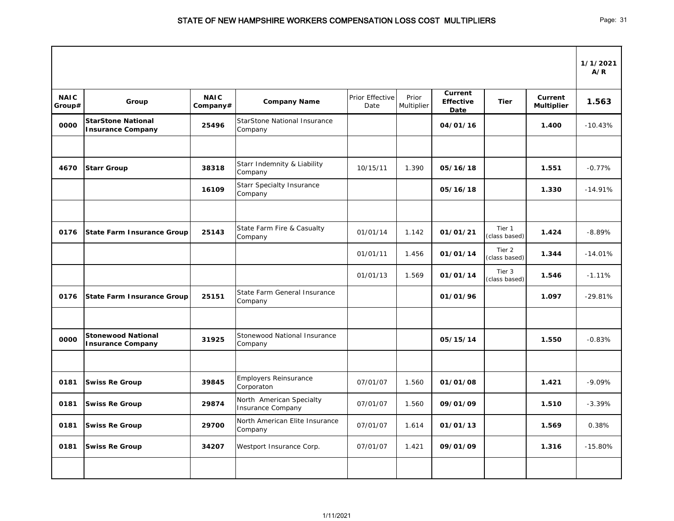|                       |                                                       |                         |                                                      |                         |                     |                                            |                         |                              | 1/1/2021<br>A/R |
|-----------------------|-------------------------------------------------------|-------------------------|------------------------------------------------------|-------------------------|---------------------|--------------------------------------------|-------------------------|------------------------------|-----------------|
| <b>NAIC</b><br>Group# | Group                                                 | <b>NAIC</b><br>Company# | <b>Company Name</b>                                  | Prior Effective<br>Date | Prior<br>Multiplier | <b>Current</b><br><b>Effective</b><br>Date | <b>Tier</b>             | Current<br><b>Multiplier</b> | 1.563           |
| 0000                  | <b>StarStone National</b><br><b>Insurance Company</b> | 25496                   | <b>StarStone National Insurance</b><br>Company       |                         |                     | 04/01/16                                   |                         | 1.400                        | $-10.43%$       |
|                       |                                                       |                         |                                                      |                         |                     |                                            |                         |                              |                 |
| 4670                  | <b>Starr Group</b>                                    | 38318                   | Starr Indemnity & Liability<br>Company               | 10/15/11                | 1.390               | 05/16/18                                   |                         | 1.551                        | $-0.77%$        |
|                       |                                                       | 16109                   | <b>Starr Specialty Insurance</b><br>Company          |                         |                     | 05/16/18                                   |                         | 1.330                        | $-14.91%$       |
|                       |                                                       |                         |                                                      |                         |                     |                                            |                         |                              |                 |
| 0176                  | <b>State Farm Insurance Group</b>                     | 25143                   | State Farm Fire & Casualty<br>Company                | 01/01/14                | 1.142               | 01/01/21                                   | Tier 1<br>(class based) | 1.424                        | $-8.89%$        |
|                       |                                                       |                         |                                                      | 01/01/11                | 1.456               | 01/01/14                                   | Tier 2<br>(class based) | 1.344                        | $-14.01%$       |
|                       |                                                       |                         |                                                      | 01/01/13                | 1.569               | 01/01/14                                   | Tier 3<br>(class based) | 1.546                        | $-1.11%$        |
| 0176                  | <b>State Farm Insurance Group</b>                     | 25151                   | State Farm General Insurance<br>Company              |                         |                     | 01/01/96                                   |                         | 1.097                        | $-29.81%$       |
|                       |                                                       |                         |                                                      |                         |                     |                                            |                         |                              |                 |
| 0000                  | <b>Stonewood National</b><br><b>Insurance Company</b> | 31925                   | Stonewood National Insurance<br>Company              |                         |                     | 05/15/14                                   |                         | 1.550                        | $-0.83%$        |
|                       |                                                       |                         |                                                      |                         |                     |                                            |                         |                              |                 |
| 0181                  | <b>Swiss Re Group</b>                                 | 39845                   | <b>Employers Reinsurance</b><br>Corporaton           | 07/01/07                | 1.560               | 01/01/08                                   |                         | 1.421                        | $-9.09%$        |
| 0181                  | <b>Swiss Re Group</b>                                 | 29874                   | North American Specialty<br><b>Insurance Company</b> | 07/01/07                | 1.560               | 09/01/09                                   |                         | 1.510                        | $-3.39%$        |
| 0181                  | <b>Swiss Re Group</b>                                 | 29700                   | North American Elite Insurance<br>Company            | 07/01/07                | 1.614               | 01/01/13                                   |                         | 1.569                        | 0.38%           |
| 0181                  | <b>Swiss Re Group</b>                                 | 34207                   | Westport Insurance Corp.                             | 07/01/07                | 1.421               | 09/01/09                                   |                         | 1.316                        | $-15.80%$       |
|                       |                                                       |                         |                                                      |                         |                     |                                            |                         |                              |                 |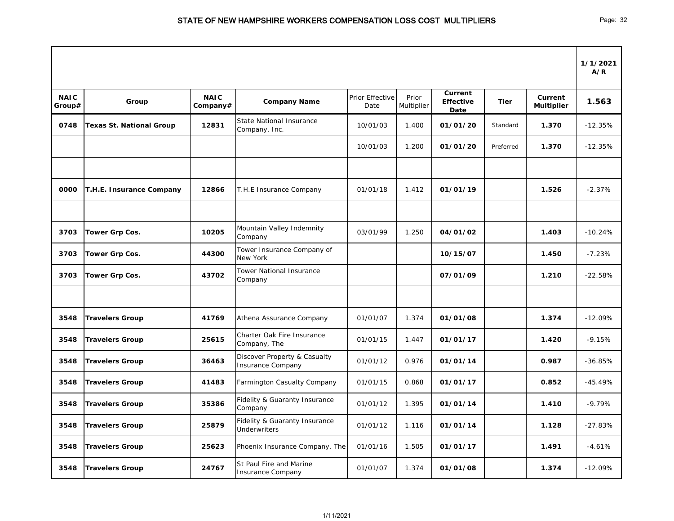|                       |                                 |                         |                                                                 |                         |                     |                                            |             |                              | 1/1/2021<br>A/R |
|-----------------------|---------------------------------|-------------------------|-----------------------------------------------------------------|-------------------------|---------------------|--------------------------------------------|-------------|------------------------------|-----------------|
| <b>NAIC</b><br>Group# | Group                           | <b>NAIC</b><br>Company# | <b>Company Name</b>                                             | Prior Effective<br>Date | Prior<br>Multiplier | <b>Current</b><br><b>Effective</b><br>Date | <b>Tier</b> | Current<br><b>Multiplier</b> | 1.563           |
| 0748                  | <b>Texas St. National Group</b> | 12831                   | <b>State National Insurance</b><br>Company, Inc.                | 10/01/03                | 1.400               | 01/01/20                                   | Standard    | 1.370                        | $-12.35%$       |
|                       |                                 |                         |                                                                 | 10/01/03                | 1.200               | 01/01/20                                   | Preferred   | 1.370                        | $-12.35%$       |
|                       |                                 |                         |                                                                 |                         |                     |                                            |             |                              |                 |
| 0000                  | T.H.E. Insurance Company        | 12866                   | T.H.E Insurance Company                                         | 01/01/18                | 1.412               | 01/01/19                                   |             | 1.526                        | $-2.37%$        |
|                       |                                 |                         |                                                                 |                         |                     |                                            |             |                              |                 |
| 3703                  | Tower Grp Cos.                  | 10205                   | Mountain Valley Indemnity<br>Company                            | 03/01/99                | 1.250               | 04/01/02                                   |             | 1.403                        | $-10.24%$       |
| 3703                  | Tower Grp Cos.                  | 44300                   | Tower Insurance Company of<br>New York                          |                         |                     | 10/15/07                                   |             | 1.450                        | $-7.23%$        |
| 3703                  | Tower Grp Cos.                  | 43702                   | <b>Tower National Insurance</b><br>Company                      |                         |                     | 07/01/09                                   |             | 1.210                        | $-22.58%$       |
|                       |                                 |                         |                                                                 |                         |                     |                                            |             |                              |                 |
| 3548                  | <b>Travelers Group</b>          | 41769                   | Athena Assurance Company                                        | 01/01/07                | 1.374               | 01/01/08                                   |             | 1.374                        | $-12.09%$       |
| 3548                  | <b>Travelers Group</b>          | 25615                   | Charter Oak Fire Insurance<br>Company, The                      | 01/01/15                | 1.447               | 01/01/17                                   |             | 1.420                        | $-9.15%$        |
| 3548                  | <b>Travelers Group</b>          | 36463                   | Discover Property & Casualty<br><b>Insurance Company</b>        | 01/01/12                | 0.976               | 01/01/14                                   |             | 0.987                        | $-36.85%$       |
| 3548                  | <b>Travelers Group</b>          | 41483                   | Farmington Casualty Company                                     | 01/01/15                | 0.868               | 01/01/17                                   |             | 0.852                        | $-45.49%$       |
| 3548                  | <b>Travelers Group</b>          | 35386                   | Fidelity & Guaranty Insurance<br>Company                        | 01/01/12                | 1.395               | 01/01/14                                   |             | 1.410                        | $-9.79%$        |
| 3548                  | <b>Travelers Group</b>          | 25879                   | <b>Fidelity &amp; Guaranty Insurance</b><br><b>Underwriters</b> | 01/01/12                | 1.116               | 01/01/14                                   |             | 1.128                        | $-27.83%$       |
| 3548                  | <b>Travelers Group</b>          | 25623                   | Phoenix Insurance Company, The                                  | 01/01/16                | 1.505               | 01/01/17                                   |             | 1.491                        | $-4.61%$        |
| 3548                  | <b>Travelers Group</b>          | 24767                   | St Paul Fire and Marine<br><b>Insurance Company</b>             | 01/01/07                | 1.374               | 01/01/08                                   |             | 1.374                        | $-12.09%$       |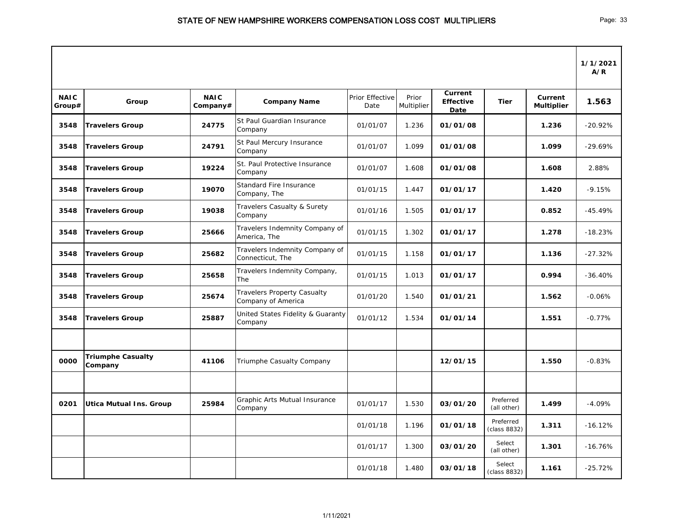|                       |                                     |                         |                                                          |                         |                     |                                     |                           |                              | 1/1/2021<br>A/R |
|-----------------------|-------------------------------------|-------------------------|----------------------------------------------------------|-------------------------|---------------------|-------------------------------------|---------------------------|------------------------------|-----------------|
| <b>NAIC</b><br>Group# | Group                               | <b>NAIC</b><br>Company# | <b>Company Name</b>                                      | Prior Effective<br>Date | Prior<br>Multiplier | Current<br><b>Effective</b><br>Date | <b>Tier</b>               | Current<br><b>Multiplier</b> | 1.563           |
| 3548                  | <b>Travelers Group</b>              | 24775                   | St Paul Guardian Insurance<br>Company                    | 01/01/07                | 1.236               | 01/01/08                            |                           | 1.236                        | $-20.92%$       |
| 3548                  | <b>Travelers Group</b>              | 24791                   | St Paul Mercury Insurance<br>Company                     | 01/01/07                | 1.099               | 01/01/08                            |                           | 1.099                        | $-29.69%$       |
| 3548                  | <b>Travelers Group</b>              | 19224                   | St. Paul Protective Insurance<br>Company                 | 01/01/07                | 1.608               | 01/01/08                            |                           | 1.608                        | 2.88%           |
| 3548                  | <b>Travelers Group</b>              | 19070                   | <b>Standard Fire Insurance</b><br>Company, The           | 01/01/15                | 1.447               | 01/01/17                            |                           | 1.420                        | $-9.15%$        |
| 3548                  | <b>Travelers Group</b>              | 19038                   | Travelers Casualty & Surety<br>Company                   | 01/01/16                | 1.505               | 01/01/17                            |                           | 0.852                        | $-45.49%$       |
| 3548                  | <b>Travelers Group</b>              | 25666                   | Travelers Indemnity Company of<br>America, The           | 01/01/15                | 1.302               | 01/01/17                            |                           | 1.278                        | $-18.23%$       |
| 3548                  | <b>Travelers Group</b>              | 25682                   | Travelers Indemnity Company of<br>Connecticut, The       | 01/01/15                | 1.158               | 01/01/17                            |                           | 1.136                        | $-27.32%$       |
| 3548                  | <b>Travelers Group</b>              | 25658                   | Travelers Indemnity Company,<br><b>The</b>               | 01/01/15                | 1.013               | 01/01/17                            |                           | 0.994                        | $-36.40%$       |
| 3548                  | <b>Travelers Group</b>              | 25674                   | <b>Travelers Property Casualty</b><br>Company of America | 01/01/20                | 1.540               | 01/01/21                            |                           | 1.562                        | $-0.06%$        |
| 3548                  | <b>Travelers Group</b>              | 25887                   | United States Fidelity & Guaranty<br>Company             | 01/01/12                | 1.534               | 01/01/14                            |                           | 1.551                        | $-0.77%$        |
|                       |                                     |                         |                                                          |                         |                     |                                     |                           |                              |                 |
| 0000                  | <b>Triumphe Casualty</b><br>Company | 41106                   | Triumphe Casualty Company                                |                         |                     | 12/01/15                            |                           | 1.550                        | $-0.83%$        |
|                       |                                     |                         |                                                          |                         |                     |                                     |                           |                              |                 |
| 0201                  | <b>Utica Mutual Ins. Group</b>      | 25984                   | Graphic Arts Mutual Insurance<br>Company                 | 01/01/17                | 1.530               | 03/01/20                            | Preferred<br>(all other)  | 1.499                        | $-4.09%$        |
|                       |                                     |                         |                                                          | 01/01/18                | 1.196               | 01/01/18                            | Preferred<br>(class 8832) | 1.311                        | $-16.12%$       |
|                       |                                     |                         |                                                          | 01/01/17                | 1.300               | 03/01/20                            | Select<br>(all other)     | 1.301                        | $-16.76%$       |
|                       |                                     |                         |                                                          | 01/01/18                | 1.480               | 03/01/18                            | Select<br>(class 8832)    | 1.161                        | $-25.72%$       |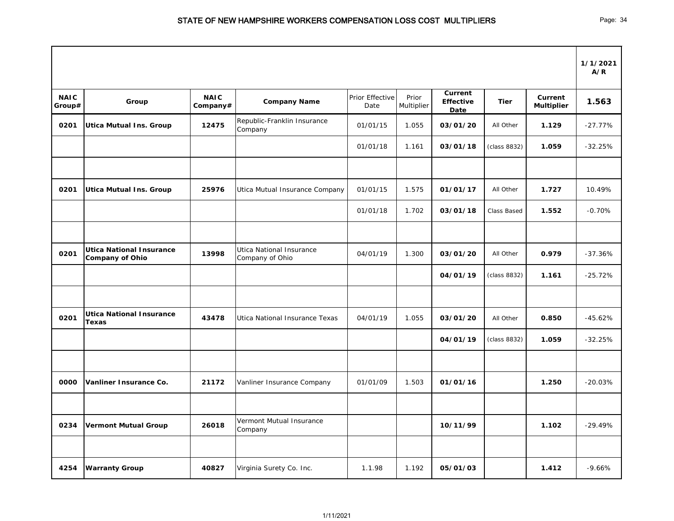|                       |                                                           |                         |                                             |                         |                     |                                     |              |                              | 1/1/2021<br>A/R |
|-----------------------|-----------------------------------------------------------|-------------------------|---------------------------------------------|-------------------------|---------------------|-------------------------------------|--------------|------------------------------|-----------------|
| <b>NAIC</b><br>Group# | Group                                                     | <b>NAIC</b><br>Company# | <b>Company Name</b>                         | Prior Effective<br>Date | Prior<br>Multiplier | Current<br><b>Effective</b><br>Date | <b>Tier</b>  | Current<br><b>Multiplier</b> | 1.563           |
| 0201                  | <b>Utica Mutual Ins. Group</b>                            | 12475                   | Republic-Franklin Insurance<br>Company      | 01/01/15                | 1.055               | 03/01/20                            | All Other    | 1.129                        | $-27.77%$       |
|                       |                                                           |                         |                                             | 01/01/18                | 1.161               | 03/01/18                            | (class 8832) | 1.059                        | $-32.25%$       |
| 0201                  | <b>Utica Mutual Ins. Group</b>                            | 25976                   | Utica Mutual Insurance Company              | 01/01/15                | 1.575               | 01/01/17                            | All Other    | 1.727                        | 10.49%          |
|                       |                                                           |                         |                                             | 01/01/18                | 1.702               | 03/01/18                            | Class Based  | 1.552                        | $-0.70%$        |
|                       |                                                           |                         |                                             |                         |                     |                                     |              |                              |                 |
| 0201                  | <b>Utica National Insurance</b><br><b>Company of Ohio</b> | 13998                   | Utica National Insurance<br>Company of Ohio | 04/01/19                | 1.300               | 03/01/20                            | All Other    | 0.979                        | $-37.36%$       |
|                       |                                                           |                         |                                             |                         |                     | 04/01/19                            | (class 8832) | 1.161                        | $-25.72%$       |
| 0201                  | <b>Utica National Insurance</b><br>Texas                  | 43478                   | Utica National Insurance Texas              | 04/01/19                | 1.055               | 03/01/20                            | All Other    | 0.850                        | $-45.62%$       |
|                       |                                                           |                         |                                             |                         |                     | 04/01/19                            | (class 8832) | 1.059                        | $-32.25%$       |
| 0000                  | Vanliner Insurance Co.                                    | 21172                   | Vanliner Insurance Company                  | 01/01/09                | 1.503               | 01/01/16                            |              | 1.250                        | $-20.03%$       |
| 0234                  | <b>Vermont Mutual Group</b>                               | 26018                   | Vermont Mutual Insurance<br>Company         |                         |                     | 10/11/99                            |              | 1.102                        | $-29.49%$       |
| 4254                  | <b>Warranty Group</b>                                     | 40827                   | Virginia Surety Co. Inc.                    | 1.1.98                  | 1.192               | 05/01/03                            |              | 1.412                        | $-9.66%$        |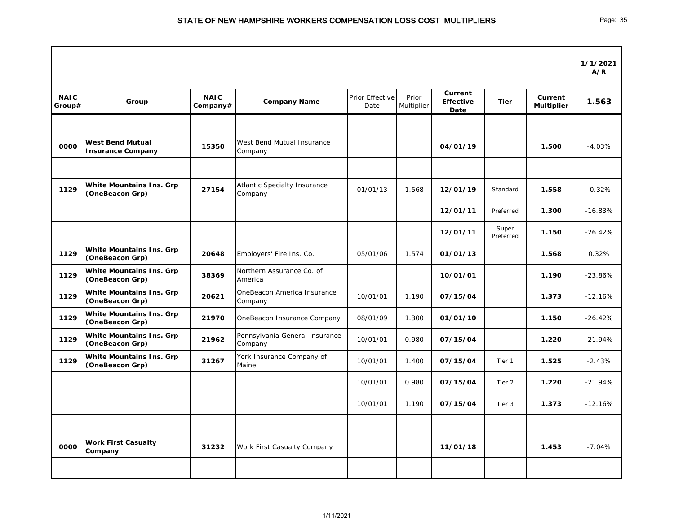|                       |                                                     |                         |                                                |                         |                     |                                            |                    |                                     | 1/1/2021<br>A/R |
|-----------------------|-----------------------------------------------------|-------------------------|------------------------------------------------|-------------------------|---------------------|--------------------------------------------|--------------------|-------------------------------------|-----------------|
| <b>NAIC</b><br>Group# | Group                                               | <b>NAIC</b><br>Company# | <b>Company Name</b>                            | Prior Effective<br>Date | Prior<br>Multiplier | <b>Current</b><br><b>Effective</b><br>Date | <b>Tier</b>        | <b>Current</b><br><b>Multiplier</b> | 1.563           |
|                       |                                                     |                         |                                                |                         |                     |                                            |                    |                                     |                 |
| 0000                  | <b>West Bend Mutual</b><br><b>Insurance Company</b> | 15350                   | West Bend Mutual Insurance<br>Company          |                         |                     | 04/01/19                                   |                    | 1.500                               | $-4.03%$        |
|                       |                                                     |                         |                                                |                         |                     |                                            |                    |                                     |                 |
| 1129                  | <b>White Mountains Ins. Grp</b><br>(OneBeacon Grp)  | 27154                   | <b>Atlantic Specialty Insurance</b><br>Company | 01/01/13                | 1.568               | 12/01/19                                   | Standard           | 1.558                               | $-0.32%$        |
|                       |                                                     |                         |                                                |                         |                     | 12/01/11                                   | Preferred          | 1.300                               | $-16.83%$       |
|                       |                                                     |                         |                                                |                         |                     | 12/01/11                                   | Super<br>Preferred | 1.150                               | $-26.42%$       |
| 1129                  | <b>White Mountains Ins. Grp</b><br>(OneBeacon Grp)  | 20648                   | Employers' Fire Ins. Co.                       | 05/01/06                | 1.574               | 01/01/13                                   |                    | 1.568                               | 0.32%           |
| 1129                  | <b>White Mountains Ins. Grp</b><br>(OneBeacon Grp)  | 38369                   | Northern Assurance Co. of<br>America           |                         |                     | 10/01/01                                   |                    | 1.190                               | $-23.86%$       |
| 1129                  | <b>White Mountains Ins. Grp</b><br>(OneBeacon Grp)  | 20621                   | OneBeacon America Insurance<br>Company         | 10/01/01                | 1.190               | 07/15/04                                   |                    | 1.373                               | $-12.16%$       |
| 1129                  | <b>White Mountains Ins. Grp</b><br>(OneBeacon Grp)  | 21970                   | OneBeacon Insurance Company                    | 08/01/09                | 1.300               | 01/01/10                                   |                    | 1.150                               | $-26.42%$       |
| 1129                  | <b>White Mountains Ins. Grp</b><br>(OneBeacon Grp)  | 21962                   | Pennsylvania General Insurance<br>Company      | 10/01/01                | 0.980               | 07/15/04                                   |                    | 1.220                               | $-21.94%$       |
| 1129                  | <b>White Mountains Ins. Grp</b><br>(OneBeacon Grp)  | 31267                   | York Insurance Company of<br>Maine             | 10/01/01                | 1.400               | 07/15/04                                   | Tier 1             | 1.525                               | $-2.43%$        |
|                       |                                                     |                         |                                                | 10/01/01                | 0.980               | 07/15/04                                   | Tier 2             | 1.220                               | $-21.94%$       |
|                       |                                                     |                         |                                                | 10/01/01                | 1.190               | 07/15/04                                   | Tier 3             | 1.373                               | $-12.16%$       |
|                       |                                                     |                         |                                                |                         |                     |                                            |                    |                                     |                 |
| 0000                  | <b>Work First Casualty</b><br>Company               | 31232                   | Work First Casualty Company                    |                         |                     | 11/01/18                                   |                    | 1.453                               | $-7.04%$        |
|                       |                                                     |                         |                                                |                         |                     |                                            |                    |                                     |                 |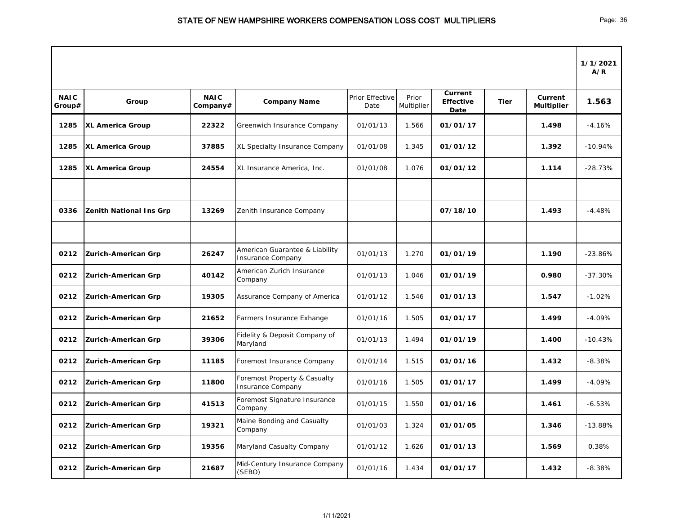|                       |                                |                         |                                                            |                         |                     |                                            |             |                                     | 1/1/2021<br>A/R |
|-----------------------|--------------------------------|-------------------------|------------------------------------------------------------|-------------------------|---------------------|--------------------------------------------|-------------|-------------------------------------|-----------------|
| <b>NAIC</b><br>Group# | Group                          | <b>NAIC</b><br>Company# | <b>Company Name</b>                                        | Prior Effective<br>Date | Prior<br>Multiplier | <b>Current</b><br><b>Effective</b><br>Date | <b>Tier</b> | <b>Current</b><br><b>Multiplier</b> | 1.563           |
| 1285                  | <b>XL America Group</b>        | 22322                   | Greenwich Insurance Company                                | 01/01/13                | 1.566               | 01/01/17                                   |             | 1.498                               | $-4.16%$        |
| 1285                  | <b>XL America Group</b>        | 37885                   | XL Specialty Insurance Company                             | 01/01/08                | 1.345               | 01/01/12                                   |             | 1.392                               | $-10.94%$       |
| 1285                  | <b>XL America Group</b>        | 24554                   | XL Insurance America, Inc.                                 | 01/01/08                | 1.076               | 01/01/12                                   |             | 1.114                               | $-28.73%$       |
|                       |                                |                         |                                                            |                         |                     |                                            |             |                                     |                 |
| 0336                  | <b>Zenith National Ins Grp</b> | 13269                   | Zenith Insurance Company                                   |                         |                     | 07/18/10                                   |             | 1.493                               | $-4.48%$        |
|                       |                                |                         |                                                            |                         |                     |                                            |             |                                     |                 |
| 0212                  | <b>Zurich-American Grp</b>     | 26247                   | American Guarantee & Liability<br><b>Insurance Company</b> | 01/01/13                | 1.270               | 01/01/19                                   |             | 1.190                               | $-23.86%$       |
| 0212                  | <b>Zurich-American Grp</b>     | 40142                   | American Zurich Insurance<br>Company                       | 01/01/13                | 1.046               | 01/01/19                                   |             | 0.980                               | $-37.30%$       |
| 0212                  | <b>Zurich-American Grp</b>     | 19305                   | Assurance Company of America                               | 01/01/12                | 1.546               | 01/01/13                                   |             | 1.547                               | $-1.02%$        |
| 0212                  | <b>Zurich-American Grp</b>     | 21652                   | Farmers Insurance Exhange                                  | 01/01/16                | 1.505               | 01/01/17                                   |             | 1.499                               | $-4.09%$        |
| 0212                  | <b>Zurich-American Grp</b>     | 39306                   | Fidelity & Deposit Company of<br>Maryland                  | 01/01/13                | 1.494               | 01/01/19                                   |             | 1.400                               | $-10.43%$       |
| 0212                  | <b>Zurich-American Grp</b>     | 11185                   | Foremost Insurance Company                                 | 01/01/14                | 1.515               | 01/01/16                                   |             | 1.432                               | $-8.38%$        |
| 0212                  | <b>Zurich-American Grp</b>     | 11800                   | Foremost Property & Casualty<br><b>Insurance Company</b>   | 01/01/16                | 1.505               | 01/01/17                                   |             | 1.499                               | $-4.09%$        |
| 0212                  | <b>Zurich-American Grp</b>     | 41513                   | Foremost Signature Insurance<br>Company                    | 01/01/15                | 1.550               | 01/01/16                                   |             | 1.461                               | $-6.53%$        |
| 0212                  | <b>Zurich-American Grp</b>     | 19321                   | Maine Bonding and Casualty<br>Company                      | 01/01/03                | 1.324               | 01/01/05                                   |             | 1.346                               | $-13.88%$       |
| 0212                  | <b>Zurich-American Grp</b>     | 19356                   | Maryland Casualty Company                                  | 01/01/12                | 1.626               | 01/01/13                                   |             | 1.569                               | 0.38%           |
| 0212                  | <b>Zurich-American Grp</b>     | 21687                   | Mid-Century Insurance Company<br>(SEBO)                    | 01/01/16                | 1.434               | 01/01/17                                   |             | 1.432                               | $-8.38%$        |